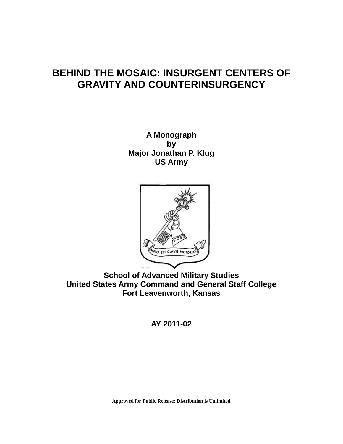# **BEHIND THE MOSAIC: INSURGENT CENTERS OF GRAVITY AND COUNTERINSURGENCY**

**A Monograph by Major Jonathan P. Klug US Army**



**School of Advanced Military Studies United States Army Command and General Staff College Fort Leavenworth, Kansas**

**AY 2011-02**

**Approved for Public Release; Distribution is Unlimited**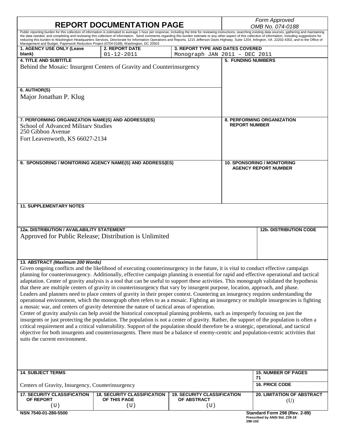| <b>REPORT DOCUMENTATION PAGE</b>                                                                                                                                                                                                                                                                                                                                                                                                                                                                                                                                                                                                                                                                                                                                                                                                                                                                                                                                                                                                                                                                                                                                                                                                                                                                                                                                                                                                                                                                                                                                                |                                                                       |                                                                   | Form Approved<br>OMB No. 074-0188                         |                                                                 |  |
|---------------------------------------------------------------------------------------------------------------------------------------------------------------------------------------------------------------------------------------------------------------------------------------------------------------------------------------------------------------------------------------------------------------------------------------------------------------------------------------------------------------------------------------------------------------------------------------------------------------------------------------------------------------------------------------------------------------------------------------------------------------------------------------------------------------------------------------------------------------------------------------------------------------------------------------------------------------------------------------------------------------------------------------------------------------------------------------------------------------------------------------------------------------------------------------------------------------------------------------------------------------------------------------------------------------------------------------------------------------------------------------------------------------------------------------------------------------------------------------------------------------------------------------------------------------------------------|-----------------------------------------------------------------------|-------------------------------------------------------------------|-----------------------------------------------------------|-----------------------------------------------------------------|--|
| Public reporting burden for this collection of information is estimated to average 1 hour per response, including the time for reviewing instructions, searching existing data sources, gathering and maintaining<br>the data needed, and completing and reviewing this collection of information. Send comments regarding this burden estimate or any other aspect of this collection of information, including suggestions for<br>reducing this burden to Washington Headquarters Services, Directorate for Information Operations and Reports, 1215 Jefferson Davis Highway, Suite 1204, Arlington, VA 22202-4302, and to the Office of<br>Management and Budget, Paperwork Reduction Project (0704-0188), Washington, DC 20503                                                                                                                                                                                                                                                                                                                                                                                                                                                                                                                                                                                                                                                                                                                                                                                                                                              |                                                                       |                                                                   |                                                           |                                                                 |  |
| 1. AGENCY USE ONLY (Leave<br>blank)                                                                                                                                                                                                                                                                                                                                                                                                                                                                                                                                                                                                                                                                                                                                                                                                                                                                                                                                                                                                                                                                                                                                                                                                                                                                                                                                                                                                                                                                                                                                             | <b>2. REPORT DATE</b><br>$01 - 12 - 2011$                             | 3. REPORT TYPE AND DATES COVERED<br>Monograph JAN 2011 - DEC 2011 |                                                           |                                                                 |  |
| <b>4. TITLE AND SUBTITLE</b><br>6. AUTHOR(S)                                                                                                                                                                                                                                                                                                                                                                                                                                                                                                                                                                                                                                                                                                                                                                                                                                                                                                                                                                                                                                                                                                                                                                                                                                                                                                                                                                                                                                                                                                                                    | Behind the Mosaic: Insurgent Centers of Gravity and Counterinsurgency |                                                                   | <b>5. FUNDING NUMBERS</b>                                 |                                                                 |  |
| Major Jonathan P. Klug                                                                                                                                                                                                                                                                                                                                                                                                                                                                                                                                                                                                                                                                                                                                                                                                                                                                                                                                                                                                                                                                                                                                                                                                                                                                                                                                                                                                                                                                                                                                                          |                                                                       |                                                                   |                                                           |                                                                 |  |
| 7. PERFORMING ORGANIZATION NAME(S) AND ADDRESS(ES)<br><b>School of Advanced Military Studies</b><br>250 Gibbon Avenue<br>Fort Leavenworth, KS 66027-2134                                                                                                                                                                                                                                                                                                                                                                                                                                                                                                                                                                                                                                                                                                                                                                                                                                                                                                                                                                                                                                                                                                                                                                                                                                                                                                                                                                                                                        |                                                                       |                                                                   | <b>8. PERFORMING ORGANIZATION</b><br><b>REPORT NUMBER</b> |                                                                 |  |
|                                                                                                                                                                                                                                                                                                                                                                                                                                                                                                                                                                                                                                                                                                                                                                                                                                                                                                                                                                                                                                                                                                                                                                                                                                                                                                                                                                                                                                                                                                                                                                                 | 9. SPONSORING / MONITORING AGENCY NAME(S) AND ADDRESS(ES)             |                                                                   |                                                           | 10. SPONSORING / MONITORING<br><b>AGENCY REPORT NUMBER</b>      |  |
| <b>11. SUPPLEMENTARY NOTES</b>                                                                                                                                                                                                                                                                                                                                                                                                                                                                                                                                                                                                                                                                                                                                                                                                                                                                                                                                                                                                                                                                                                                                                                                                                                                                                                                                                                                                                                                                                                                                                  |                                                                       |                                                                   |                                                           |                                                                 |  |
| 12a. DISTRIBUTION / AVAILABILITY STATEMENT<br>Approved for Public Release; Distribution is Unlimited                                                                                                                                                                                                                                                                                                                                                                                                                                                                                                                                                                                                                                                                                                                                                                                                                                                                                                                                                                                                                                                                                                                                                                                                                                                                                                                                                                                                                                                                            |                                                                       |                                                                   |                                                           | <b>12b. DISTRIBUTION CODE</b>                                   |  |
| 13. ABSTRACT (Maximum 200 Words)<br>Given ongoing conflicts and the likelihood of executing counterinsurgency in the future, it is vital to conduct effective campaign<br>planning for counterinsurgency. Additionally, effective campaign planning is essential for rapid and effective operational and tactical<br>adaptation. Center of gravity analysis is a tool that can be useful to support these activities. This monograph validated the hypothesis<br>that there are multiple centers of gravity in counterinsurgency that vary by insurgent purpose, location, approach, and phase.<br>Leaders and planners need to place centers of gravity in their proper context. Countering an insurgency requires understanding the<br>operational environment, which the monograph often refers to as a mosaic. Fighting an insurgency or multiple insurgencies is fighting<br>a mosaic war, and centers of gravity determine the nature of tactical areas of operation.<br>Center of gravity analysis can help avoid the historical conceptual planning problems, such as improperly focusing on just the<br>insurgents or just protecting the population. The population is not a center of gravity. Rather, the support of the population is often a<br>critical requirement and a critical vulnerability. Support of the population should therefore be a strategic, operational, and tactical<br>objective for both insurgents and counterinsurgents. There must be a balance of enemy-centric and population-centric activities that<br>suits the current environment. |                                                                       |                                                                   |                                                           |                                                                 |  |
| <b>14. SUBJECT TERMS</b>                                                                                                                                                                                                                                                                                                                                                                                                                                                                                                                                                                                                                                                                                                                                                                                                                                                                                                                                                                                                                                                                                                                                                                                                                                                                                                                                                                                                                                                                                                                                                        |                                                                       |                                                                   |                                                           | <b>15. NUMBER OF PAGES</b><br>71                                |  |
| Centers of Gravity, Insurgency, Counterinsurgency                                                                                                                                                                                                                                                                                                                                                                                                                                                                                                                                                                                                                                                                                                                                                                                                                                                                                                                                                                                                                                                                                                                                                                                                                                                                                                                                                                                                                                                                                                                               |                                                                       |                                                                   |                                                           | <b>16. PRICE CODE</b>                                           |  |
| <b>17. SECURITY CLASSIFICATION</b><br>OF REPORT<br>(U)                                                                                                                                                                                                                                                                                                                                                                                                                                                                                                                                                                                                                                                                                                                                                                                                                                                                                                                                                                                                                                                                                                                                                                                                                                                                                                                                                                                                                                                                                                                          | <b>18. SECURITY CLASSIFICATION</b><br>OF THIS PAGE<br>(U)             | <b>19. SECURITY CLASSIFICATION</b><br>OF ABSTRACT<br>(U)          |                                                           | <b>20. LIMITATION OF ABSTRACT</b><br>(U)                        |  |
| NSN 7540-01-280-5500                                                                                                                                                                                                                                                                                                                                                                                                                                                                                                                                                                                                                                                                                                                                                                                                                                                                                                                                                                                                                                                                                                                                                                                                                                                                                                                                                                                                                                                                                                                                                            |                                                                       |                                                                   |                                                           | Standard Form 298 (Rev. 2-89)<br>Prescribed by ANSI Std. Z39-18 |  |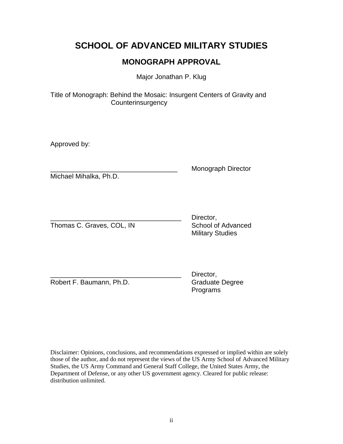## **SCHOOL OF ADVANCED MILITARY STUDIES**

## **MONOGRAPH APPROVAL**

Major Jonathan P. Klug

Title of Monograph: Behind the Mosaic: Insurgent Centers of Gravity and **Counterinsurgency** 

Approved by:

Michael Mihalka, Ph.D.

\_\_\_\_\_\_\_\_\_\_\_\_\_\_\_\_\_\_\_\_\_\_\_\_\_\_\_\_\_\_\_\_\_\_ Monograph Director

Thomas C. Graves, COL, IN School of Advanced

Director. Military Studies

Robert F. Baumann, Ph.D. Graduate Degree

Director, Programs

Disclaimer: Opinions, conclusions, and recommendations expressed or implied within are solely those of the author, and do not represent the views of the US Army School of Advanced Military Studies, the US Army Command and General Staff College, the United States Army, the Department of Defense, or any other US government agency. Cleared for public release: distribution unlimited.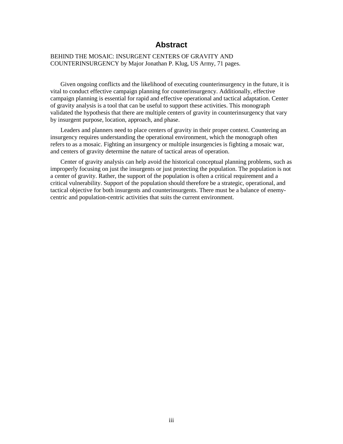### **Abstract**

#### BEHIND THE MOSAIC: INSURGENT CENTERS OF GRAVITY AND COUNTERINSURGENCY by Major Jonathan P. Klug, US Army, 71 pages.

Given ongoing conflicts and the likelihood of executing counterinsurgency in the future, it is vital to conduct effective campaign planning for counterinsurgency. Additionally, effective campaign planning is essential for rapid and effective operational and tactical adaptation. Center of gravity analysis is a tool that can be useful to support these activities. This monograph validated the hypothesis that there are multiple centers of gravity in counterinsurgency that vary by insurgent purpose, location, approach, and phase.

Leaders and planners need to place centers of gravity in their proper context. Countering an insurgency requires understanding the operational environment, which the monograph often refers to as a mosaic. Fighting an insurgency or multiple insurgencies is fighting a mosaic war, and centers of gravity determine the nature of tactical areas of operation.

Center of gravity analysis can help avoid the historical conceptual planning problems, such as improperly focusing on just the insurgents or just protecting the population. The population is not a center of gravity. Rather, the support of the population is often a critical requirement and a critical vulnerability. Support of the population should therefore be a strategic, operational, and tactical objective for both insurgents and counterinsurgents. There must be a balance of enemycentric and population-centric activities that suits the current environment.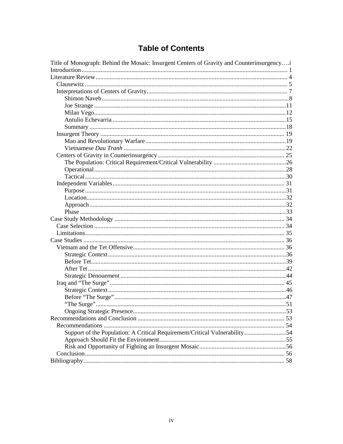## **Table of Contents**

| Title of Monograph: Behind the Mosaic: Insurgent Centers of Gravity and Counterinsurgencyi |  |
|--------------------------------------------------------------------------------------------|--|
|                                                                                            |  |
|                                                                                            |  |
|                                                                                            |  |
|                                                                                            |  |
|                                                                                            |  |
|                                                                                            |  |
|                                                                                            |  |
|                                                                                            |  |
|                                                                                            |  |
|                                                                                            |  |
|                                                                                            |  |
|                                                                                            |  |
|                                                                                            |  |
|                                                                                            |  |
|                                                                                            |  |
|                                                                                            |  |
|                                                                                            |  |
|                                                                                            |  |
|                                                                                            |  |
|                                                                                            |  |
|                                                                                            |  |
|                                                                                            |  |
|                                                                                            |  |
|                                                                                            |  |
|                                                                                            |  |
|                                                                                            |  |
|                                                                                            |  |
|                                                                                            |  |
|                                                                                            |  |
|                                                                                            |  |
|                                                                                            |  |
|                                                                                            |  |
|                                                                                            |  |
|                                                                                            |  |
|                                                                                            |  |
|                                                                                            |  |
|                                                                                            |  |
| Support of the Population: A Critical Requirement/Critical Vulnerability54                 |  |
|                                                                                            |  |
|                                                                                            |  |
|                                                                                            |  |
|                                                                                            |  |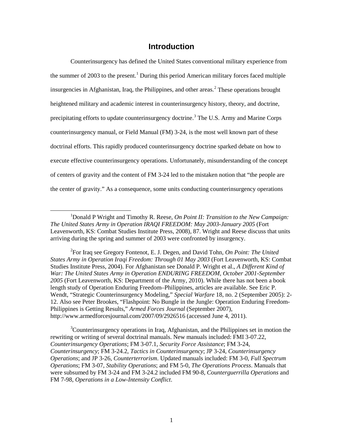## **Introduction**

Counterinsurgency has defined the United States conventional military experience from the summer of 2003 to the present.<sup>1</sup> During this period American military forces faced multiple insurgencies in Afghanistan, Iraq, the Philippines, and other areas. 2 These operations brought heightened military and academic interest in counterinsurgency history, theory, and doctrine, precipitating efforts to update counterinsurgency doctrine.<sup>3</sup> The U.S. Army and Marine Corps counterinsurgency manual, or Field Manual (FM) 3-24, is the most well known part of these doctrinal efforts. This rapidly produced counterinsurgency doctrine sparked debate on how to execute effective counterinsurgency operations. Unfortunately, misunderstanding of the concept of centers of gravity and the content of FM 3-24 led to the mistaken notion that "the people are the center of gravity." As a consequence, some units conducting counterinsurgency operations

2 For Iraq see Gregory Fontenot, E. J. Degen, and David Tohn, *On Point: The United States Army in Operation Iraqi Freedom: Through 01 May 2003* (Fort Leavenworth, KS: Combat Studies Institute Press, 2004). For Afghanistan see Donald P. Wright et al., *A Different Kind of War: The United States Army in Operation ENDURING FREEDOM, October 2001-September 2005* (Fort Leavenworth, KS: Department of the Army, 2010). While there has not been a book length study of Operation Enduring Freedom–Philippines, articles are available. See Eric P. Wendt, "Strategic Counterinsurgency Modeling," *Special Warfare* 18, no. 2 (September 2005): 2- 12. Also see Peter Brookes, "Flashpoint: No Bungle in the Jungle: Operation Enduring Freedom-Philippines is Getting Results," *Armed Forces Journal* (September 2007), http://www.armedforcesjournal.com/2007/09/2926516 (accessed June 4, 2011).

<sup>3</sup>Counterinsurgency operations in Iraq, Afghanistan, and the Philippines set in motion the rewriting or writing of several doctrinal manuals. New manuals included: FMI 3-07.22, *Counterinsurgency Operations*; FM 3-07.1, *Security Force Assistance*; FM 3-24, *Counterinsurgency*; FM 3-24.2, *Tactics in Counterinsurgency*; JP 3-24, *Counterinsurgency Operations*; and JP 3-26, *Counterterrorism*. Updated manuals included: FM 3-0, *Full Spectrum Operations*; FM 3-07, *Stability Operations*; and FM 5-0, *The Operations Process*. Manuals that were subsumed by FM 3-24 and FM 3-24.2 included FM 90-8, *Counterguerrilla Operations* and FM 7-98, *Operations in a Low-Intensity Conflict*.

<sup>&</sup>lt;u>1</u> <sup>1</sup>Donald P Wright and Timothy R. Reese, *On Point II: Transition to the New Campaign: The United States Army in Operation IRAQI FREEDOM: May 2003-January 2005* (Fort Leavenworth, KS: Combat Studies Institute Press, 2008), 87. Wright and Reese discuss that units arriving during the spring and summer of 2003 were confronted by insurgency.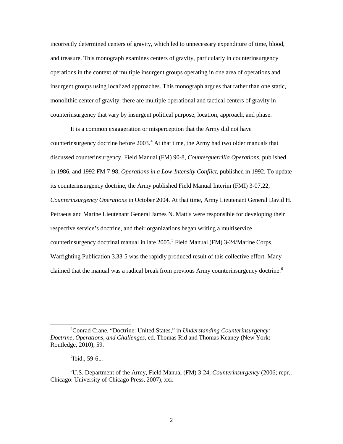incorrectly determined centers of gravity, which led to unnecessary expenditure of time, blood, and treasure. This monograph examines centers of gravity, particularly in counterinsurgency operations in the context of multiple insurgent groups operating in one area of operations and insurgent groups using localized approaches. This monograph argues that rather than one static, monolithic center of gravity, there are multiple operational and tactical centers of gravity in counterinsurgency that vary by insurgent political purpose, location, approach, and phase.

It is a common exaggeration or misperception that the Army did not have counterinsurgency doctrine before  $2003<sup>4</sup>$ . At that time, the Army had two older manuals that discussed counterinsurgency. Field Manual (FM) 90-8, *Counterguerrilla Operations*, published in 1986, and 1992 FM 7-98, *Operations in a Low-Intensity Conflict*, published in 1992. To update its counterinsurgency doctrine, the Army published Field Manual Interim (FMI) 3-07.22, *Counterinsurgency Operations* in October 2004. At that time, Army Lieutenant General David H. Petraeus and Marine Lieutenant General James N. Mattis were responsible for developing their respective service's doctrine, and their organizations began writing a multiservice counterinsurgency doctrinal manual in late  $2005$ <sup>5</sup> Field Manual (FM) 3-24/Marine Corps Warfighting Publication 3.33-5 was the rapidly produced result of this collective effort. Many claimed that the manual was a radical break from previous Army counterinsurgency doctrine.<sup>6</sup>

 $\overline{4}$ Conrad Crane, "Doctrine: United States," in *Understanding Counterinsurgency: Doctrine, Operations, and Challenges*, ed. Thomas Rid and Thomas Keaney (New York: Routledge, 2010), 59.

 $<sup>5</sup>$ Ibid., 59-61.</sup>

<sup>6</sup> U.S. Department of the Army, Field Manual (FM) 3-24, *Counterinsurgency* (2006; repr., Chicago: University of Chicago Press, 2007), xxi.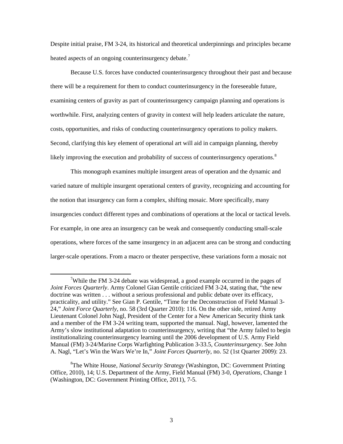Despite initial praise, FM 3-24, its historical and theoretical underpinnings and principles became heated aspects of an ongoing counterinsurgency debate.<sup>7</sup>

Because U.S. forces have conducted counterinsurgency throughout their past and because there will be a requirement for them to conduct counterinsurgency in the foreseeable future, examining centers of gravity as part of counterinsurgency campaign planning and operations is worthwhile. First, analyzing centers of gravity in context will help leaders articulate the nature, costs, opportunities, and risks of conducting counterinsurgency operations to policy makers. Second, clarifying this key element of operational art will aid in campaign planning, thereby likely improving the execution and probability of success of counterinsurgency operations.<sup>8</sup>

This monograph examines multiple insurgent areas of operation and the dynamic and varied nature of multiple insurgent operational centers of gravity, recognizing and accounting for the notion that insurgency can form a complex, shifting mosaic. More specifically, many insurgencies conduct different types and combinations of operations at the local or tactical levels. For example, in one area an insurgency can be weak and consequently conducting small-scale operations, where forces of the same insurgency in an adjacent area can be strong and conducting larger-scale operations. From a macro or theater perspective, these variations form a mosaic not

 $\overline{7}$ <sup>7</sup>While the FM 3-24 debate was widespread, a good example occurred in the pages of *Joint Forces Quarterly*. Army Colonel Gian Gentile criticized FM 3-24, stating that, "the new doctrine was written . . . without a serious professional and public debate over its efficacy, practicality, and utility." See Gian P. Gentile, "Time for the Deconstruction of Field Manual 3- 24," *Joint Force Quarterly*, no. 58 (3rd Quarter 2010): 116. On the other side, retired Army Lieutenant Colonel John Nagl, President of the Center for a New American Security think tank and a member of the FM 3-24 writing team, supported the manual. Nagl, however, lamented the Army's slow institutional adaptation to counterinsurgency, writing that "the Army failed to begin institutionalizing counterinsurgency learning until the 2006 development of U.S. Army Field Manual (FM) 3-24/Marine Corps Warfighting Publication 3-33.5, *Counterinsurgency*. See John A. Nagl, "Let's Win the Wars We're In," *Joint Forces Quarterly*, no. 52 (1st Quarter 2009): 23.

<sup>8</sup> The White House, *National Security Strategy* (Washington, DC: Government Printing Office, 2010), 14; U.S. Department of the Army, Field Manual (FM) 3-0, *Operations*, Change 1 (Washington, DC: Government Printing Office, 2011), 7-5.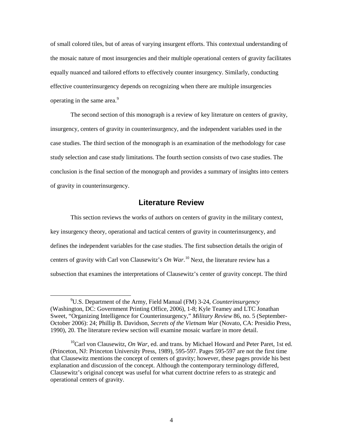of small colored tiles, but of areas of varying insurgent efforts. This contextual understanding of the mosaic nature of most insurgencies and their multiple operational centers of gravity facilitates equally nuanced and tailored efforts to effectively counter insurgency. Similarly, conducting effective counterinsurgency depends on recognizing when there are multiple insurgencies operating in the same area.<sup>9</sup>

The second section of this monograph is a review of key literature on centers of gravity, insurgency, centers of gravity in counterinsurgency, and the independent variables used in the case studies. The third section of the monograph is an examination of the methodology for case study selection and case study limitations. The fourth section consists of two case studies. The conclusion is the final section of the monograph and provides a summary of insights into centers of gravity in counterinsurgency.

## **Literature Review**

This section reviews the works of authors on centers of gravity in the military context, key insurgency theory, operational and tactical centers of gravity in counterinsurgency, and defines the independent variables for the case studies. The first subsection details the origin of centers of gravity with Carl von Clausewitz's *On War*. <sup>10</sup> Next, the literature review has a subsection that examines the interpretations of Clausewitz's center of gravity concept. The third

 $\frac{1}{9}$ U.S. Department of the Army, Field Manual (FM) 3-24, *Counterinsurgency*  (Washington, DC: Government Printing Office, 2006), 1-8; Kyle Teamey and LTC Jonathan Sweet, "Organizing Intelligence for Counterinsurgency," *Military Review* 86, no. 5 (September-October 2006): 24; Phillip B. Davidson, *Secrets of the Vietnam War* (Novato, CA: Presidio Press, 1990), 20. The literature review section will examine mosaic warfare in more detail.

<sup>&</sup>lt;sup>10</sup>Carl von Clausewitz, *On War*, ed. and trans. by Michael Howard and Peter Paret, 1st ed. (Princeton, NJ: Princeton University Press, 1989), 595-597. Pages 595-597 are not the first time that Clausewitz mentions the concept of centers of gravity; however, these pages provide his best explanation and discussion of the concept. Although the contemporary terminology differed, Clausewitz's original concept was useful for what current doctrine refers to as strategic and operational centers of gravity.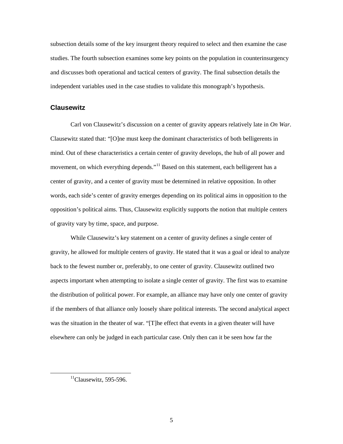subsection details some of the key insurgent theory required to select and then examine the case studies. The fourth subsection examines some key points on the population in counterinsurgency and discusses both operational and tactical centers of gravity. The final subsection details the independent variables used in the case studies to validate this monograph's hypothesis.

#### **Clausewitz**

Carl von Clausewitz's discussion on a center of gravity appears relatively late in *On War*. Clausewitz stated that: "[O]ne must keep the dominant characteristics of both belligerents in mind. Out of these characteristics a certain center of gravity develops, the hub of all power and movement, on which everything depends."<sup>11</sup> Based on this statement, each belligerent has a center of gravity, and a center of gravity must be determined in relative opposition. In other words, each side's center of gravity emerges depending on its political aims in opposition to the opposition's political aims. Thus, Clausewitz explicitly supports the notion that multiple centers of gravity vary by time, space, and purpose.

While Clausewitz's key statement on a center of gravity defines a single center of gravity, he allowed for multiple centers of gravity. He stated that it was a goal or ideal to analyze back to the fewest number or, preferably, to one center of gravity. Clausewitz outlined two aspects important when attempting to isolate a single center of gravity. The first was to examine the distribution of political power. For example, an alliance may have only one center of gravity if the members of that alliance only loosely share political interests. The second analytical aspect was the situation in the theater of war. "[T]he effect that events in a given theater will have elsewhere can only be judged in each particular case. Only then can it be seen how far the

 $<sup>11</sup>$ Clausewitz, 595-596.</sup>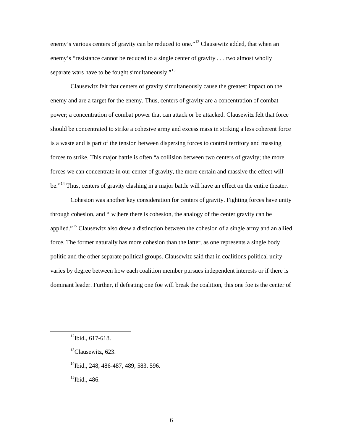enemy's various centers of gravity can be reduced to one."<sup>12</sup> Clausewitz added, that when an enemy's "resistance cannot be reduced to a single center of gravity . . . two almost wholly separate wars have to be fought simultaneously. $13$ 

Clausewitz felt that centers of gravity simultaneously cause the greatest impact on the enemy and are a target for the enemy. Thus, centers of gravity are a concentration of combat power; a concentration of combat power that can attack or be attacked. Clausewitz felt that force should be concentrated to strike a cohesive army and excess mass in striking a less coherent force is a waste and is part of the tension between dispersing forces to control territory and massing forces to strike. This major battle is often "a collision between two centers of gravity; the more forces we can concentrate in our center of gravity, the more certain and massive the effect will be."<sup>14</sup> Thus, centers of gravity clashing in a major battle will have an effect on the entire theater.

Cohesion was another key consideration for centers of gravity. Fighting forces have unity through cohesion, and "[w]here there is cohesion, the analogy of the center gravity can be applied."<sup>15</sup> Clausewitz also drew a distinction between the cohesion of a single army and an allied force. The former naturally has more cohesion than the latter, as one represents a single body politic and the other separate political groups. Clausewitz said that in coalitions political unity varies by degree between how each coalition member pursues independent interests or if there is dominant leader. Further, if defeating one foe will break the coalition, this one foe is the center of

<sup>14</sup>Ibid., 248, 486-487, 489, 583, 596.

 $15$ Ibid., 486.

 $12$ Ibid., 617-618.

<sup>&</sup>lt;sup>13</sup>Clausewitz, 623.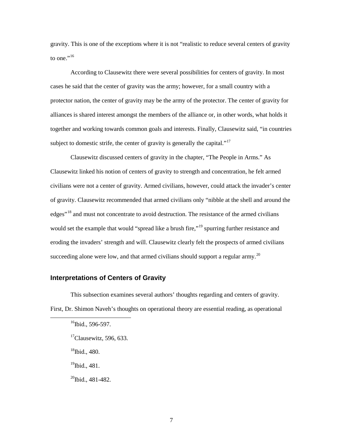gravity. This is one of the exceptions where it is not "realistic to reduce several centers of gravity to one." $^{16}$ 

According to Clausewitz there were several possibilities for centers of gravity. In most cases he said that the center of gravity was the army; however, for a small country with a protector nation, the center of gravity may be the army of the protector. The center of gravity for alliances is shared interest amongst the members of the alliance or, in other words, what holds it together and working towards common goals and interests. Finally, Clausewitz said, "in countries subject to domestic strife, the center of gravity is generally the capital."<sup>17</sup>

Clausewitz discussed centers of gravity in the chapter, "The People in Arms." As Clausewitz linked his notion of centers of gravity to strength and concentration, he felt armed civilians were not a center of gravity. Armed civilians, however, could attack the invader's center of gravity. Clausewitz recommended that armed civilians only "nibble at the shell and around the edges<sup>"18</sup> and must not concentrate to avoid destruction. The resistance of the armed civilians would set the example that would "spread like a brush fire,"<sup>19</sup> spurring further resistance and eroding the invaders' strength and will. Clausewitz clearly felt the prospects of armed civilians succeeding alone were low, and that armed civilians should support a regular army.<sup>20</sup>

#### **Interpretations of Centers of Gravity**

This subsection examines several authors' thoughts regarding and centers of gravity. First, Dr. Shimon Naveh's thoughts on operational theory are essential reading, as operational

 $18$ Ibid., 480.

 $19$ Ibid., 481.

 $^{20}$ Ibid., 481-482.

 $16$ Ibid., 596-597.

 $\mathrm{^{17}C}$ lausewitz, 596, 633.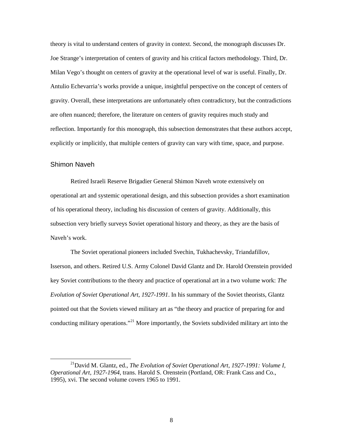theory is vital to understand centers of gravity in context. Second, the monograph discusses Dr. Joe Strange's interpretation of centers of gravity and his critical factors methodology. Third, Dr. Milan Vego's thought on centers of gravity at the operational level of war is useful. Finally, Dr. Antulio Echevarria's works provide a unique, insightful perspective on the concept of centers of gravity. Overall, these interpretations are unfortunately often contradictory, but the contradictions are often nuanced; therefore, the literature on centers of gravity requires much study and reflection. Importantly for this monograph, this subsection demonstrates that these authors accept, explicitly or implicitly, that multiple centers of gravity can vary with time, space, and purpose.

#### Shimon Naveh

Retired Israeli Reserve Brigadier General Shimon Naveh wrote extensively on operational art and systemic operational design, and this subsection provides a short examination of his operational theory, including his discussion of centers of gravity. Additionally, this subsection very briefly surveys Soviet operational history and theory, as they are the basis of Naveh's work.

The Soviet operational pioneers included Svechin, Tukhachevsky, Triandafillov, Isserson, and others. Retired U.S. Army Colonel David Glantz and Dr. Harold Orenstein provided key Soviet contributions to the theory and practice of operational art in a two volume work: *The Evolution of Soviet Operational Art, 1927-1991*. In his summary of the Soviet theorists, Glantz pointed out that the Soviets viewed military art as "the theory and practice of preparing for and conducting military operations."<sup>21</sup> More importantly, the Soviets subdivided military art into the

<sup>&</sup>lt;sup>21</sup>David M. Glantz, ed., *The Evolution of Soviet Operational Art, 1927-1991: Volume I, Operational Art, 1927-1964*, trans. Harold S. Orenstein (Portland, OR: Frank Cass and Co., 1995), xvi. The second volume covers 1965 to 1991.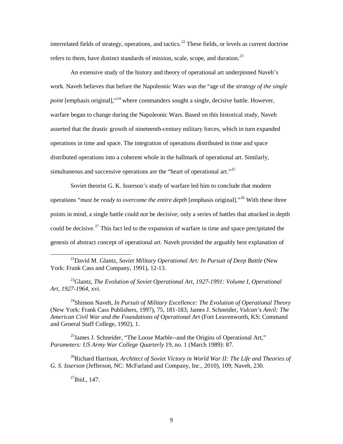interrelated fields of strategy, operations, and tactics.<sup>22</sup> These fields, or levels as current doctrine refers to them, have distinct standards of mission, scale, scope, and duration.<sup>23</sup>

An extensive study of the history and theory of operational art underpinned Naveh's work. Naveh believes that before the Napoleonic Wars was the "age of the *strategy of the single point* [emphasis original],"<sup>24</sup> where commanders sought a single, decisive battle. However, warfare began to change during the Napoleonic Wars. Based on this historical study, Naveh asserted that the drastic growth of nineteenth-century military forces, which in turn expanded operations in time and space. The integration of operations distributed in time and space distributed operations into a coherent whole in the hallmark of operational art. Similarly, simultaneous and successive operations are the "heart of operational art."<sup>25</sup>

Soviet theorist G. K. Isserson's study of warfare led him to conclude that modern operations "*must be ready to overcome the entire depth* [emphasis original]."<sup>26</sup> With these three points in mind, a single battle could not be decisive; only a series of battles that attacked in depth could be decisive.<sup>27</sup> This fact led to the expansion of warfare in time and space precipitated the genesis of abstract concept of operational art. Naveh provided the arguably best explanation of

<sup>22</sup>David M. Glantz, *Soviet Military Operational Art: In Pursuit of Deep Battle* (New York: Frank Cass and Company, 1991), 12-13.

<sup>23</sup>Glantz, *The Evolution of Soviet Operational Art, 1927-1991: Volume I, Operational Art, 1927-1964*, xvi.

<sup>24</sup>Shimon Naveh, *In Pursuit of Military Excellence: The Evolution of Operational Theory* (New York: Frank Cass Publishers, 1997), 75, 181-183; James J. Schneider, *Vulcan's Anvil: The American Civil War and the Foundations of Operational Art* (Fort Leavenworth, KS: Command and General Staff College, 1992), 1.

 $^{25}$ James J. Schneider, "The Loose Marble--and the Origins of Operational Art," *Parameters: US Army War College Quarterly* 19, no. 1 (March 1989): 87.

26Richard Harrison, *Architect of Soviet Victory in World War II: The Life and Theories of G. S. Isserson* (Jefferson, NC: McFarland and Company, Inc., 2010), 109; Naveh, 230.

 $^{27}$ Ibid., 147.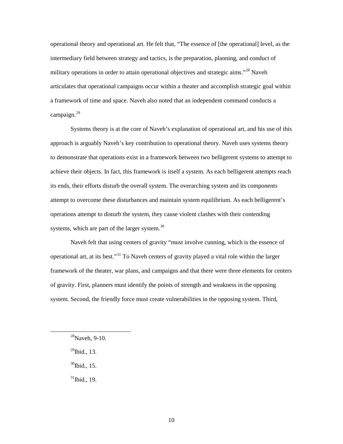operational theory and operational art. He felt that, "The essence of [the operational] level, as the intermediary field between strategy and tactics, is the preparation, planning, and conduct of military operations in order to attain operational objectives and strategic aims."<sup>28</sup> Naveh articulates that operational campaigns occur within a theater and accomplish strategic goal within a framework of time and space. Naveh also noted that an independent command conducts a campaign.<sup>29</sup>

Systems theory is at the core of Naveh's explanation of operational art, and his use of this approach is arguably Naveh's key contribution to operational theory. Naveh uses systems theory to demonstrate that operations exist in a framework between two belligerent systems to attempt to achieve their objects. In fact, this framework is itself a system. As each belligerent attempts reach its ends, their efforts disturb the overall system. The overarching system and its components attempt to overcome these disturbances and maintain system equilibrium. As each belligerent's operations attempt to disturb the system, they cause violent clashes with their contending systems, which are part of the larger system.<sup>30</sup>

Naveh felt that using centers of gravity "must involve cunning, which is the essence of operational art, at its best."31 To Naveh centers of gravity played a vital role within the larger framework of the theater, war plans, and campaigns and that there were three elements for centers of gravity. First, planners must identify the points of strength and weakness in the opposing system. Second, the friendly force must create vulnerabilities in the opposing system. Third,

 $^{29}$ Ibid., 13.

 $30$ Ibid., 15.

 $31$ Ibid., 19.

 $28$ Naveh, 9-10.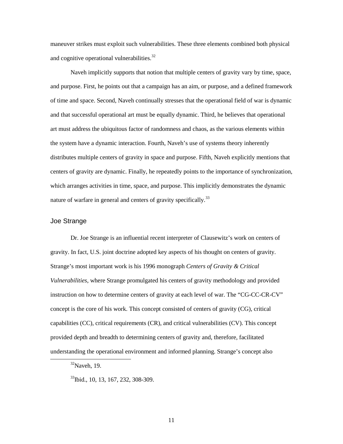maneuver strikes must exploit such vulnerabilities. These three elements combined both physical and cognitive operational vulnerabilities. $32$ 

Naveh implicitly supports that notion that multiple centers of gravity vary by time, space, and purpose. First, he points out that a campaign has an aim, or purpose, and a defined framework of time and space. Second, Naveh continually stresses that the operational field of war is dynamic and that successful operational art must be equally dynamic. Third, he believes that operational art must address the ubiquitous factor of randomness and chaos, as the various elements within the system have a dynamic interaction. Fourth, Naveh's use of systems theory inherently distributes multiple centers of gravity in space and purpose. Fifth, Naveh explicitly mentions that centers of gravity are dynamic. Finally, he repeatedly points to the importance of synchronization, which arranges activities in time, space, and purpose. This implicitly demonstrates the dynamic nature of warfare in general and centers of gravity specifically.<sup>33</sup>

#### Joe Strange

Dr. Joe Strange is an influential recent interpreter of Clausewitz's work on centers of gravity. In fact, U.S. joint doctrine adopted key aspects of his thought on centers of gravity. Strange's most important work is his 1996 monograph *Centers of Gravity & Critical Vulnerabilities*, where Strange promulgated his centers of gravity methodology and provided instruction on how to determine centers of gravity at each level of war. The "CG-CC-CR-CV" concept is the core of his work. This concept consisted of centers of gravity (CG), critical capabilities (CC), critical requirements (CR), and critical vulnerabilities (CV). This concept provided depth and breadth to determining centers of gravity and, therefore, facilitated understanding the operational environment and informed planning. Strange's concept also

 $32$ Naveh, 19.

<sup>&</sup>lt;sup>33</sup>Ibid., 10, 13, 167, 232, 308-309.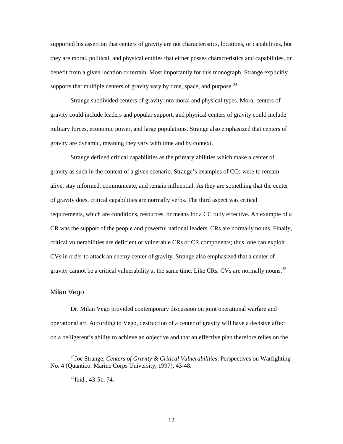supported his assertion that centers of gravity are not characteristics, locations, or capabilities, but they are moral, political, and physical entities that either posses characteristics and capabilities, or benefit from a given location or terrain. Most importantly for this monograph, Strange explicitly supports that multiple centers of gravity vary by time, space, and purpose.  $34$ 

Strange subdivided centers of gravity into moral and physical types. Moral centers of gravity could include leaders and popular support, and physical centers of gravity could include military forces, economic power, and large populations. Strange also emphasized that centers of gravity are dynamic, meaning they vary with time and by context.

Strange defined critical capabilities as the primary abilities which make a center of gravity as such in the context of a given scenario. Strange's examples of CCs were to remain alive, stay informed, communicate, and remain influential. As they are something that the center of gravity does, critical capabilities are normally verbs. The third aspect was critical requirements, which are conditions, resources, or means for a CC fully effective. An example of a CR was the support of the people and powerful national leaders. CRs are normally nouns. Finally, critical vulnerabilities are deficient or vulnerable CRs or CR components; thus, one can exploit CVs in order to attack an enemy center of gravity. Strange also emphasized that a center of gravity cannot be a critical vulnerability at the same time. Like CRs, CVs are normally nouns.<sup>35</sup>

#### Milan Vego

Dr. Milan Vego provided contemporary discussion on joint operational warfare and operational art. According to Vego, destruction of a center of gravity will have a decisive affect on a belligerent's ability to achieve an objective and that an effective plan therefore relies on the

 <sup>34</sup>Joe Strange, *Centers of Gravity & Critical Vulnerabilities*, Perspectives on Warfighting No. 4 (Quantico: Marine Corps University, 1997), 43-48.

 $35$ Ibid., 43-51, 74.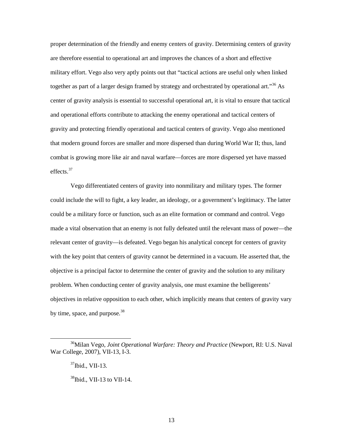proper determination of the friendly and enemy centers of gravity. Determining centers of gravity are therefore essential to operational art and improves the chances of a short and effective military effort. Vego also very aptly points out that "tactical actions are useful only when linked together as part of a larger design framed by strategy and orchestrated by operational art."<sup>36</sup> As center of gravity analysis is essential to successful operational art, it is vital to ensure that tactical and operational efforts contribute to attacking the enemy operational and tactical centers of gravity and protecting friendly operational and tactical centers of gravity. Vego also mentioned that modern ground forces are smaller and more dispersed than during World War II; thus, land combat is growing more like air and naval warfare—forces are more dispersed yet have massed effects.<sup>37</sup>

Vego differentiated centers of gravity into nonmilitary and military types. The former could include the will to fight, a key leader, an ideology, or a government's legitimacy. The latter could be a military force or function, such as an elite formation or command and control. Vego made a vital observation that an enemy is not fully defeated until the relevant mass of power—the relevant center of gravity—is defeated. Vego began his analytical concept for centers of gravity with the key point that centers of gravity cannot be determined in a vacuum. He asserted that, the objective is a principal factor to determine the center of gravity and the solution to any military problem. When conducting center of gravity analysis, one must examine the belligerents' objectives in relative opposition to each other, which implicitly means that centers of gravity vary by time, space, and purpose. $38$ 

 <sup>36</sup>Milan Vego, *Joint Operational Warfare: Theory and Practice* (Newport, RI: U.S. Naval War College, 2007), VII-13, I-3.

 $37$ Ibid., VII-13.

 $38$ Ibid., VII-13 to VII-14.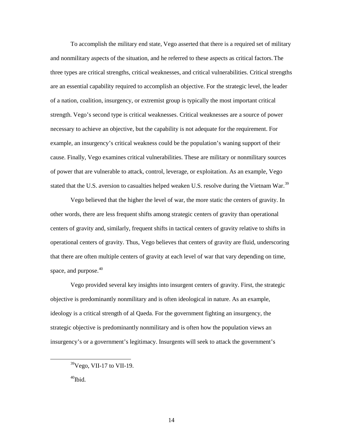To accomplish the military end state, Vego asserted that there is a required set of military and nonmilitary aspects of the situation, and he referred to these aspects as critical factors.The three types are critical strengths, critical weaknesses, and critical vulnerabilities. Critical strengths are an essential capability required to accomplish an objective. For the strategic level, the leader of a nation, coalition, insurgency, or extremist group is typically the most important critical strength. Vego's second type is critical weaknesses. Critical weaknesses are a source of power necessary to achieve an objective, but the capability is not adequate for the requirement. For example, an insurgency's critical weakness could be the population's waning support of their cause. Finally, Vego examines critical vulnerabilities. These are military or nonmilitary sources of power that are vulnerable to attack, control, leverage, or exploitation. As an example, Vego stated that the U.S. aversion to casualties helped weaken U.S. resolve during the Vietnam War.<sup>39</sup>

Vego believed that the higher the level of war, the more static the centers of gravity. In other words, there are less frequent shifts among strategic centers of gravity than operational centers of gravity and, similarly, frequent shifts in tactical centers of gravity relative to shifts in operational centers of gravity. Thus, Vego believes that centers of gravity are fluid, underscoring that there are often multiple centers of gravity at each level of war that vary depending on time, space, and purpose. $40$ 

Vego provided several key insights into insurgent centers of gravity. First, the strategic objective is predominantly nonmilitary and is often ideological in nature. As an example, ideology is a critical strength of al Qaeda. For the government fighting an insurgency, the strategic objective is predominantly nonmilitary and is often how the population views an insurgency's or a government's legitimacy. Insurgents will seek to attack the government's

 $39$ Vego, VII-17 to VII-19.

 $40$ Ibid.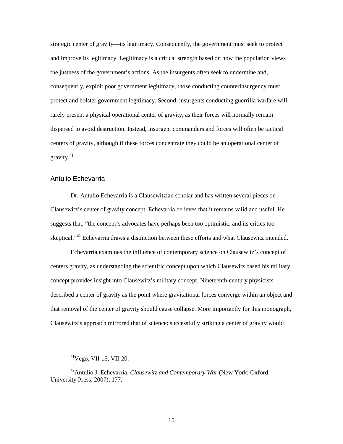strategic center of gravity—its legitimacy. Consequently, the government must seek to protect and improve its legitimacy. Legitimacy is a critical strength based on how the population views the justness of the government's actions. As the insurgents often seek to undermine and, consequently, exploit poor government legitimacy, those conducting counterinsurgency must protect and bolster government legitimacy. Second, insurgents conducting guerrilla warfare will rarely present a physical operational center of gravity, as their forces will normally remain dispersed to avoid destruction. Instead, insurgent commanders and forces will often be tactical centers of gravity, although if these forces concentrate they could be an operational center of gravity.41

#### Antulio Echevarria

Dr. Antulio Echevarria is a Clausewitzian scholar and has written several pieces on Clausewitz's center of gravity concept. Echevarria believes that it remains valid and useful. He suggests that, "the concept's advocates have perhaps been too optimistic, and its critics too skeptical."<sup>42</sup> Echevarria draws a distinction between these efforts and what Clausewitz intended.

Echevarria examines the influence of contemporary science on Clausewitz's concept of centers gravity, as understanding the scientific concept upon which Clausewitz based his military concept provides insight into Clausewitz's military concept. Nineteenth-century physicists described a center of gravity as the point where gravitational forces converge within an object and that removal of the center of gravity should cause collapse. More importantly for this monograph, Clausewitz's approach mirrored that of science: successfully striking a center of gravity would

 <sup>41</sup>Vego, VII-15, VII-20.

<sup>42</sup>Antulio J. Echevarria, *Clausewitz and Contemporary War* (New York: Oxford University Press, 2007), 177.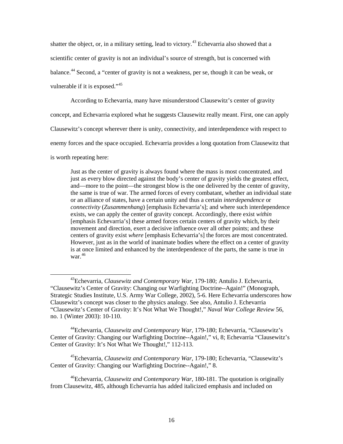shatter the object, or, in a military setting, lead to victory.<sup>43</sup> Echevarria also showed that a scientific center of gravity is not an individual's source of strength, but is concerned with balance.<sup>44</sup> Second, a "center of gravity is not a weakness, per se, though it can be weak, or vulnerable if it is exposed."<sup>45</sup>

According to Echevarria, many have misunderstood Clausewitz's center of gravity

concept, and Echevarria explored what he suggests Clausewitz really meant. First, one can apply

Clausewitz's concept wherever there is unity, connectivity, and interdependence with respect to

enemy forces and the space occupied. Echevarria provides a long quotation from Clausewitz that

is worth repeating here:

Just as the center of gravity is always found where the mass is most concentrated, and just as every blow directed against the body's center of gravity yields the greatest effect, and—more to the point—the strongest blow is the one delivered by the center of gravity, the same is true of war. The armed forces of every combatant, whether an individual state or an alliance of states, have a certain unity and thus a certain *interdependence* or *connectivity* (*Zusammenhang*) [emphasis Echevarria's]; and where such interdependence exists, we can apply the center of gravity concept. Accordingly, there exist *within* [emphasis Echevarria's] these armed forces certain centers of gravity which, by their movement and direction, exert a decisive influence over all other points; and these centers of gravity exist *where* [emphasis Echevarria's] the forces are most concentrated. However, just as in the world of inanimate bodies where the effect on a center of gravity is at once limited and enhanced by the interdependence of the parts, the same is true in war. 46

44Echevarria, *Clausewitz and Contemporary War*, 179-180; Echevarria, "Clausewitz's Center of Gravity: Changing our Warfighting Doctrine--Again!," vi, 8; Echevarria "Clausewitz's Center of Gravity: It's Not What We Thought!," 112-113.

45Echevarria, *Clausewitz and Contemporary War*, 179-180; Echevarria, "Clausewitz's Center of Gravity: Changing our Warfighting Doctrine--Again!," 8.

 <sup>43</sup>Echevarria, *Clausewitz and Contemporary War*, 179-180; Antulio J. Echevarria, "Clausewitz's Center of Gravity: Changing our Warfighting Doctrine--Again!" (Monograph, Strategic Studies Institute, U.S. Army War College, 2002), 5-6. Here Echevarria underscores how Clausewitz's concept was closer to the physics analogy. See also, Antulio J. Echevarria "Clausewitz's Center of Gravity: It's Not What We Thought!," *Naval War College Review* 56, no. 1 (Winter 2003): 10-110.

<sup>46</sup>Echevarria, *Clausewitz and Contemporary War*, 180-181. The quotation is originally from Clausewitz, 485, although Echevarria has added italicized emphasis and included on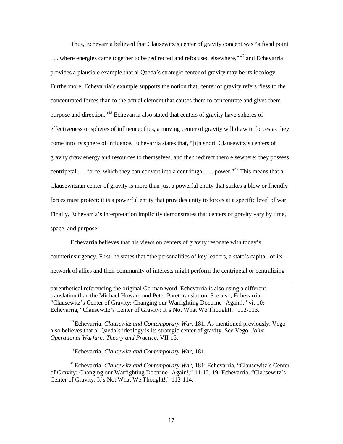Thus, Echevarria believed that Clausewitz's center of gravity concept was "a focal point ... where energies came together to be redirected and refocused elsewhere,"<sup>47</sup> and Echevarria provides a plausible example that al Qaeda's strategic center of gravity may be its ideology. Furthermore, Echevarria's example supports the notion that, center of gravity refers "less to the concentrated forces than to the actual element that causes them to concentrate and gives them purpose and direction."<sup>48</sup> Echevarria also stated that centers of gravity have spheres of effectiveness or spheres of influence; thus, a moving center of gravity will draw in forces as they come into its sphere of influence. Echevarria states that, "[i]n short, Clausewitz's centers of gravity draw energy and resources to themselves, and then redirect them elsewhere: they possess centripetal . . . force, which they can convert into a centrifugal  $\ldots$  power."<sup>49</sup> This means that a Clausewitzian center of gravity is more than just a powerful entity that strikes a blow or friendly forces must protect; it is a powerful entity that provides unity to forces at a specific level of war. Finally, Echevarria's interpretation implicitly demonstrates that centers of gravity vary by time, space, and purpose.

Echevarria believes that his views on centers of gravity resonate with today's counterinsurgency. First, he states that "the personalities of key leaders, a state's capital, or its network of allies and their community of interests might perform the centripetal or centralizing

parenthetical referencing the original German word. Echevarria is also using a different translation than the Michael Howard and Peter Paret translation. See also, Echevarria, "Clausewitz's Center of Gravity: Changing our Warfighting Doctrine--Again!," vi, 10; Echevarria, "Clausewitz's Center of Gravity: It's Not What We Thought!," 112-113.

47Echevarria, *Clausewitz and Contemporary War*, 181. As mentioned previously, Vego also believes that al Qaeda's ideology is its strategic center of gravity. See Vego, *Joint Operational Warfare: Theory and Practice*, VII-15.

48Echevarria, *Clausewitz and Contemporary War*, 181.

 $\ddot{\phantom{a}}$ 

49Echevarria, *Clausewitz and Contemporary War*, 181; Echevarria, "Clausewitz's Center of Gravity: Changing our Warfighting Doctrine--Again!," 11-12, 19; Echevarria, "Clausewitz's Center of Gravity: It's Not What We Thought!," 113-114.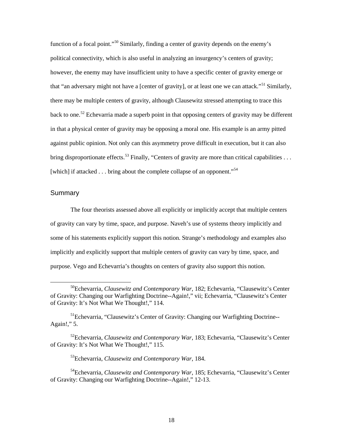function of a focal point."<sup>50</sup> Similarly, finding a center of gravity depends on the enemy's political connectivity, which is also useful in analyzing an insurgency's centers of gravity; however, the enemy may have insufficient unity to have a specific center of gravity emerge or that "an adversary might not have a [center of gravity], or at least one we can attack."<sup>51</sup> Similarly, there may be multiple centers of gravity, although Clausewitz stressed attempting to trace this back to one.<sup>52</sup> Echevarria made a superb point in that opposing centers of gravity may be different in that a physical center of gravity may be opposing a moral one. His example is an army pitted against public opinion. Not only can this asymmetry prove difficult in execution, but it can also bring disproportionate effects.<sup>53</sup> Finally, "Centers of gravity are more than critical capabilities . . . [which] if attacked  $\dots$  bring about the complete collapse of an opponent.<sup>"54</sup>

#### **Summary**

The four theorists assessed above all explicitly or implicitly accept that multiple centers of gravity can vary by time, space, and purpose. Naveh's use of systems theory implicitly and some of his statements explicitly support this notion. Strange's methodology and examples also implicitly and explicitly support that multiple centers of gravity can vary by time, space, and purpose. Vego and Echevarria's thoughts on centers of gravity also support this notion.

 <sup>50</sup>Echevarria, *Clausewitz and Contemporary War*, 182; Echevarria, "Clausewitz's Center of Gravity: Changing our Warfighting Doctrine--Again!," vii; Echevarria, "Clausewitz's Center of Gravity: It's Not What We Thought!," 114.

<sup>&</sup>lt;sup>51</sup>Echevarria, "Clausewitz's Center of Gravity: Changing our Warfighting Doctrine--Again!," 5.

<sup>52</sup>Echevarria, *Clausewitz and Contemporary War*, 183; Echevarria, "Clausewitz's Center of Gravity: It's Not What We Thought!," 115.

<sup>53</sup>Echevarria, *Clausewitz and Contemporary War*, 184.

<sup>54</sup>Echevarria, *Clausewitz and Contemporary War*, 185; Echevarria, "Clausewitz's Center of Gravity: Changing our Warfighting Doctrine--Again!," 12-13.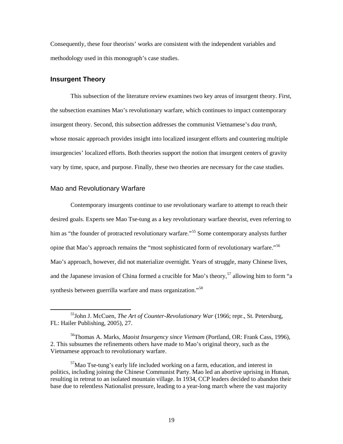Consequently, these four theorists' works are consistent with the independent variables and methodology used in this monograph's case studies.

#### **Insurgent Theory**

This subsection of the literature review examines two key areas of insurgent theory. First, the subsection examines Mao's revolutionary warfare, which continues to impact contemporary insurgent theory. Second, this subsection addresses the communist Vietnamese's *dau tranh*, whose mosaic approach provides insight into localized insurgent efforts and countering multiple insurgencies' localized efforts. Both theories support the notion that insurgent centers of gravity vary by time, space, and purpose. Finally, these two theories are necessary for the case studies.

#### Mao and Revolutionary Warfare

Contemporary insurgents continue to use revolutionary warfare to attempt to reach their desired goals. Experts see Mao Tse-tung as a key revolutionary warfare theorist, even referring to him as "the founder of protracted revolutionary warfare."<sup>55</sup> Some contemporary analysts further opine that Mao's approach remains the "most sophisticated form of revolutionary warfare."<sup>56</sup> Mao's approach, however, did not materialize overnight. Years of struggle, many Chinese lives, and the Japanese invasion of China formed a crucible for Mao's theory,<sup>57</sup> allowing him to form "a synthesis between guerrilla warfare and mass organization."<sup>58</sup>

 <sup>55</sup>John J. McCuen, *The Art of Counter-Revolutionary War* (1966; repr., St. Petersburg, FL: Hailer Publishing, 2005), 27.

<sup>56</sup>Thomas A. Marks, *Maoist Insurgency since Vietnam* (Portland, OR: Frank Cass, 1996), 2. This subsumes the refinements others have made to Mao's original theory, such as the Vietnamese approach to revolutionary warfare.

 $57$ Mao Tse-tung's early life included working on a farm, education, and interest in politics, including joining the Chinese Communist Party. Mao led an abortive uprising in Hunan, resulting in retreat to an isolated mountain village. In 1934, CCP leaders decided to abandon their base due to relentless Nationalist pressure, leading to a year-long march where the vast majority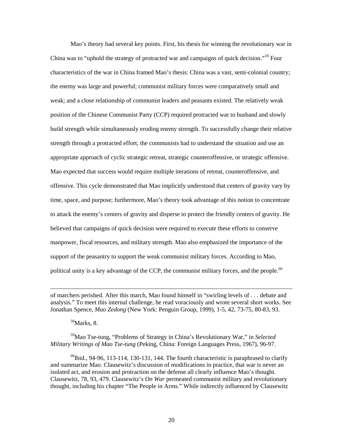Mao's theory had several key points. First, his thesis for winning the revolutionary war in China was to "uphold the strategy of protracted war and campaigns of quick decision."59 Four characteristics of the war in China framed Mao's thesis: China was a vast, semi-colonial country; the enemy was large and powerful; communist military forces were comparatively small and weak; and a close relationship of communist leaders and peasants existed. The relatively weak position of the Chinese Communist Party (CCP) required protracted war to husband and slowly build strength while simultaneously eroding enemy strength. To successfully change their relative strength through a protracted effort, the communists had to understand the situation and use an appropriate approach of cyclic strategic retreat, strategic counteroffensive, or strategic offensive. Mao expected that success would require multiple iterations of retreat, counteroffensive, and offensive. This cycle demonstrated that Mao implicitly understood that centers of gravity vary by time, space, and purpose; furthermore, Mao's theory took advantage of this notion to concentrate to attack the enemy's centers of gravity and disperse to protect the friendly centers of gravity. He believed that campaigns of quick decision were required to execute these efforts to conserve manpower, fiscal resources, and military strength. Mao also emphasized the importance of the support of the peasantry to support the weak communist military forces. According to Mao, political unity is a key advantage of the CCP, the communist military forces, and the people.<sup>60</sup>

58Marks, 8.

 $\ddot{\phantom{a}}$ 

59Mao Tse-tung, "Problems of Strategy in China's Revolutionary War," in *Selected Military Writings of Mao Tse-tung* (Peking, China: Foreign Languages Press, 1967), 96-97.

 $^{60}$ Ibid., 94-96, 113-114, 130-131, 144. The fourth characteristic is paraphrased to clarify and summarize Mao. Clausewitz's discussion of modifications in practice, that war is never an isolated act, and erosion and protraction on the defense all clearly influence Mao's thought. Clausewitz, 78, 93, 479. Clausewitz's *On War* permeated communist military and revolutionary thought, including his chapter "The People in Arms." While indirectly influenced by Clausewitz

of marchers perished. After this march, Mao found himself in "swirling levels of . . . debate and analysis." To meet this internal challenge, he read voraciously and wrote several short works. See Jonathan Spence, *Mao Zedong* (New York: Penguin Group, 1999), 1-5, 42, 73-75, 80-83, 93.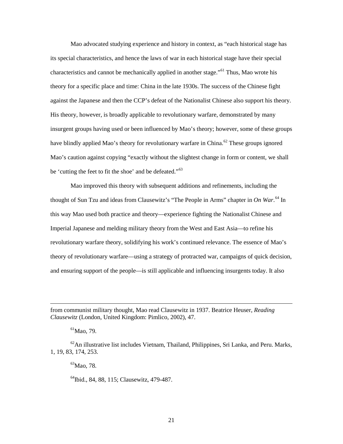Mao advocated studying experience and history in context, as "each historical stage has its special characteristics, and hence the laws of war in each historical stage have their special characteristics and cannot be mechanically applied in another stage."<sup>61</sup> Thus, Mao wrote his theory for a specific place and time: China in the late 1930s. The success of the Chinese fight against the Japanese and then the CCP's defeat of the Nationalist Chinese also support his theory. His theory, however, is broadly applicable to revolutionary warfare, demonstrated by many insurgent groups having used or been influenced by Mao's theory; however, some of these groups have blindly applied Mao's theory for revolutionary warfare in China.<sup>62</sup> These groups ignored Mao's caution against copying "exactly without the slightest change in form or content, we shall be 'cutting the feet to fit the shoe' and be defeated."<sup>63</sup>

Mao improved this theory with subsequent additions and refinements, including the thought of Sun Tzu and ideas from Clausewitz's "The People in Arms" chapter in *On War*. <sup>64</sup> In this way Mao used both practice and theory—experience fighting the Nationalist Chinese and Imperial Japanese and melding military theory from the West and East Asia—to refine his revolutionary warfare theory, solidifying his work's continued relevance. The essence of Mao's theory of revolutionary warfare—using a strategy of protracted war, campaigns of quick decision, and ensuring support of the people—is still applicable and influencing insurgents today. It also

from communist military thought, Mao read Clausewitz in 1937. Beatrice Heuser, *Reading Clausewitz* (London, United Kingdom: Pimlico, 2002), 47.

 ${}^{61}$ Mao, 79.

 $\overline{a}$ 

 $^{62}$ An illustrative list includes Vietnam, Thailand, Philippines, Sri Lanka, and Peru. Marks, 1, 19, 83, 174, 253.

 ${}^{63}$ Mao, 78.

<sup>64</sup>Ibid., 84, 88, 115; Clausewitz, 479-487.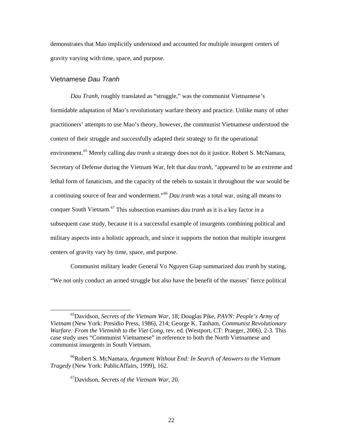demonstrates that Mao implicitly understood and accounted for multiple insurgent centers of gravity varying with time, space, and purpose.

#### Vietnamese *Dau Tranh*

*Dau Tranh*, roughly translated as "struggle," was the communist Vietnamese's formidable adaptation of Mao's revolutionary warfare theory and practice. Unlike many of other practitioners' attempts to use Mao's theory, however, the communist Vietnamese understood the context of their struggle and successfully adapted their strategy to fit the operational environment.<sup>65</sup> Merely calling *dau tranh* a strategy does not do it justice. Robert S. McNamara, Secretary of Defense during the Vietnam War, felt that *dau tranh*, "appeared to be an extreme and lethal form of fanaticism, and the capacity of the rebels to sustain it throughout the war would be a continuing source of fear and wonderment."<sup>66</sup> *Dau tranh* was a total war, using all means to conquer South Vietnam.<sup>67</sup> This subsection examines *dau tranh* as it is a key factor in a subsequent case study, because it is a successful example of insurgents combining political and military aspects into a holistic approach, and since it supports the notion that multiple insurgent centers of gravity vary by time, space, and purpose.

Communist military leader General Vo Nguyen Giap summarized *dau tranh* by stating, "We not only conduct an armed struggle but also have the benefit of the masses' fierce political

67Davidson, *Secrets of the Vietnam War*, 20.

 <sup>65</sup>Davidson, *Secrets of the Vietnam War*, 18; Douglas Pike, *PAVN: People's Army of Vietnam* (New York: Presidio Press, 1986), 214; George K. Tanham, *Communist Revolutionary Warfare: From the Vietminh to the Viet Cong*, rev. ed. (Westport, CT: Praeger, 2006), 2-3. This case study uses "Communist Vietnamese" in reference to both the North Vietnamese and communist insurgents in South Vietnam.

<sup>&</sup>lt;sup>66</sup>Robert S. McNamara, *Argument Without End: In Search of Answers to the Vietnam Tragedy* (New York: PublicAffairs, 1999), 162.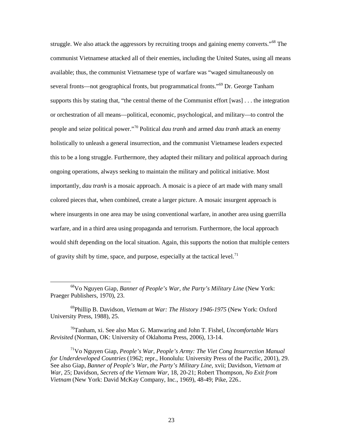struggle. We also attack the aggressors by recruiting troops and gaining enemy converts."<sup>68</sup> The communist Vietnamese attacked all of their enemies, including the United States, using all means available; thus, the communist Vietnamese type of warfare was "waged simultaneously on several fronts—not geographical fronts, but programmatical fronts."<sup>69</sup> Dr. George Tanham supports this by stating that, "the central theme of the Communist effort [was] . . . the integration or orchestration of all means—political, economic, psychological, and military—to control the people and seize political power."<sup>70</sup> Political *dau tranh* and armed *dau tranh* attack an enemy holistically to unleash a general insurrection, and the communist Vietnamese leaders expected this to be a long struggle. Furthermore, they adapted their military and political approach during ongoing operations, always seeking to maintain the military and political initiative. Most importantly, *dau tranh* is a mosaic approach. A mosaic is a piece of art made with many small colored pieces that, when combined, create a larger picture. A mosaic insurgent approach is where insurgents in one area may be using conventional warfare, in another area using guerrilla warfare, and in a third area using propaganda and terrorism. Furthermore, the local approach would shift depending on the local situation. Again, this supports the notion that multiple centers of gravity shift by time, space, and purpose, especially at the tactical level.<sup>71</sup>

70Tanham, xi. See also Max G. Manwaring and John T. Fishel, *Uncomfortable Wars Revisited* (Norman, OK: University of Oklahoma Press, 2006), 13-14.

71Vo Nguyen Giap, *People's War, People's Army: The Viet Cong Insurrection Manual for Underdeveloped Countries* (1962; repr., Honolulu: University Press of the Pacific, 2001), 29. See also Giap, *Banner of People's War, the Party's Military Line*, xvii; Davidson, *Vietnam at War*, 25; Davidson, *Secrets of the Vietnam War*, 18, 20-21; Robert Thompson, *No Exit from Vietnam* (New York: David McKay Company, Inc., 1969), 48-49; Pike, 226..

 <sup>68</sup>Vo Nguyen Giap, *Banner of People's War, the Party's Military Line* (New York: Praeger Publishers, 1970), 23.

<sup>69</sup>Phillip B. Davidson, *Vietnam at War: The History 1946-1975* (New York: Oxford University Press, 1988), 25.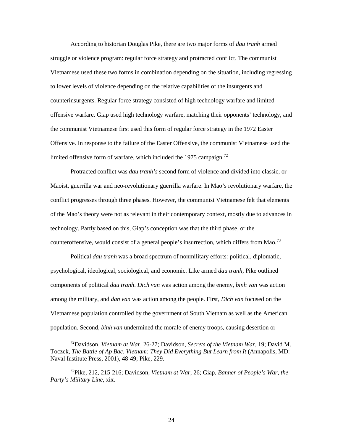According to historian Douglas Pike, there are two major forms of *dau tranh* armed struggle or violence program: regular force strategy and protracted conflict. The communist Vietnamese used these two forms in combination depending on the situation, including regressing to lower levels of violence depending on the relative capabilities of the insurgents and counterinsurgents. Regular force strategy consisted of high technology warfare and limited offensive warfare. Giap used high technology warfare, matching their opponents' technology, and the communist Vietnamese first used this form of regular force strategy in the 1972 Easter Offensive. In response to the failure of the Easter Offensive, the communist Vietnamese used the limited offensive form of warfare, which included the 1975 campaign.<sup>72</sup>

Protracted conflict was *dau tranh's* second form of violence and divided into classic, or Maoist, guerrilla war and neo-revolutionary guerrilla warfare. In Mao's revolutionary warfare, the conflict progresses through three phases. However, the communist Vietnamese felt that elements of the Mao's theory were not as relevant in their contemporary context, mostly due to advances in technology. Partly based on this, Giap's conception was that the third phase, or the counteroffensive, would consist of a general people's insurrection, which differs from Mao.<sup>73</sup>

Political *dau tranh* was a broad spectrum of nonmilitary efforts: political, diplomatic, psychological, ideological, sociological, and economic. Like armed *dau tranh*, Pike outlined components of political *dau tranh*. *Dich van* was action among the enemy, *binh van* was action among the military, and *dan van* was action among the people. First, *Dich van* focused on the Vietnamese population controlled by the government of South Vietnam as well as the American population. Second, *binh van* undermined the morale of enemy troops, causing desertion or

 <sup>72</sup>Davidson, *Vietnam at War*, 26-27; Davidson, *Secrets of the Vietnam War*, 19; David M. Toczek, *The Battle of Ap Bac, Vietnam: They Did Everything But Learn from It* (Annapolis, MD: Naval Institute Press, 2001), 48-49; Pike, 229.

<sup>73</sup>Pike, 212, 215-216; Davidson, *Vietnam at War*, 26; Giap, *Banner of People's War, the Party's Military Line*, xix.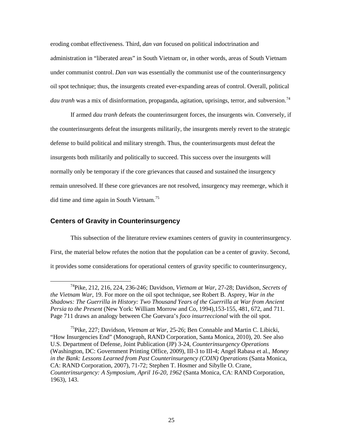eroding combat effectiveness. Third, *dan van* focused on political indoctrination and administration in "liberated areas" in South Vietnam or, in other words, areas of South Vietnam under communist control. *Dan van* was essentially the communist use of the counterinsurgency oil spot technique; thus, the insurgents created ever-expanding areas of control. Overall, political *dau tranh* was a mix of disinformation, propaganda, agitation, uprisings, terror, and subversion.<sup>74</sup>

If armed *dau tranh* defeats the counterinsurgent forces, the insurgents win. Conversely, if the counterinsurgents defeat the insurgents militarily, the insurgents merely revert to the strategic defense to build political and military strength. Thus, the counterinsurgents must defeat the insurgents both militarily and politically to succeed. This success over the insurgents will normally only be temporary if the core grievances that caused and sustained the insurgency remain unresolved. If these core grievances are not resolved, insurgency may reemerge, which it did time and time again in South Vietnam.<sup>75</sup>

#### **Centers of Gravity in Counterinsurgency**

This subsection of the literature review examines centers of gravity in counterinsurgency. First, the material below refutes the notion that the population can be a center of gravity. Second, it provides some considerations for operational centers of gravity specific to counterinsurgency,

 <sup>74</sup>Pike, 212, 216, 224, 236-246; Davidson, *Vietnam at War*, 27-28; Davidson, *Secrets of the Vietnam War*, 19. For more on the oil spot technique, see Robert B. Asprey, *War in the Shadows: The Guerrilla in History: Two Thousand Years of the Guerrilla at War from Ancient Persia to the Present* (New York: William Morrow and Co, 1994),153-155, 481, 672, and 711. Page 711 draws an analogy between Che Guevara's *foco insurreccional* with the oil spot.

<sup>75</sup>Pike, 227; Davidson, *Vietnam at War*, 25-26; Ben Connable and Martin C. Libicki, "How Insurgencies End" (Monograph, RAND Corporation, Santa Monica, 2010), 20. See also U.S. Department of Defense, Joint Publication (JP) 3-24, *Counterinsurgency Operations* (Washington, DC: Government Printing Office, 2009), III-3 to III-4; Angel Rabasa et al., *Money in the Bank: Lessons Learned from Past Counterinsurgency (COIN) Operations* (Santa Monica, CA: RAND Corporation, 2007), 71-72; Stephen T. Hosmer and Sibylle O. Crane, *Counterinsurgency: A Symposium, April 16-20, 1962* (Santa Monica, CA: RAND Corporation, 1963), 143.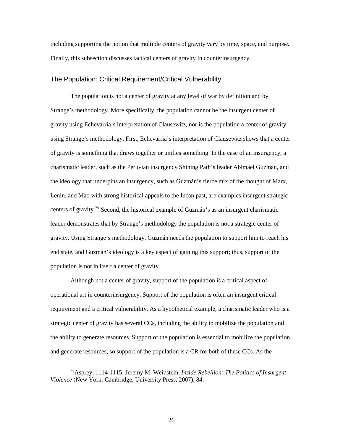including supporting the notion that multiple centers of gravity vary by time, space, and purpose. Finally, this subsection discusses tactical centers of gravity in counterinsurgency.

#### The Population: Critical Requirement/Critical Vulnerability

The population is not a center of gravity at any level of war by definition and by Strange's methodology. More specifically, the population cannot be the insurgent center of gravity using Echevarria's interpretation of Clausewitz, nor is the population a center of gravity using Strange's methodology. First, Echevarria's interpretation of Clausewitz shows that a center of gravity is something that draws together or unifies something. In the case of an insurgency, a charismatic leader, such as the Peruvian insurgency Shining Path's leader Abimael Guzmán, and the ideology that underpins an insurgency, such as Guzmán's fierce mix of the thought of Marx, Lenin, and Mao with strong historical appeals to the Incan past, are examples insurgent strategic centers of gravity.<sup>76</sup> Second, the historical example of Guzmán's as an insurgent charismatic leader demonstrates that by Strange's methodology the population is not a strategic center of gravity. Using Strange's methodology, Guzmán needs the population to support him to reach his end state, and Guzmán's ideology is a key aspect of gaining this support; thus, support of the population is not in itself a center of gravity.

Although not a center of gravity, support of the population is a critical aspect of operational art in counterinsurgency. Support of the population is often an insurgent critical requirement and a critical vulnerability. As a hypothetical example, a charismatic leader who is a strategic center of gravity has several CCs, including the ability to mobilize the population and the ability to generate resources. Support of the population is essential to mobilize the population and generate resources, so support of the population is a CR for both of these CCs. As the

 <sup>76</sup>Asprey, 1114-1115; Jeremy M. Weinstein, *Inside Rebellion: The Politics of Insurgent Violence* (New York: Cambridge, University Press, 2007), 84.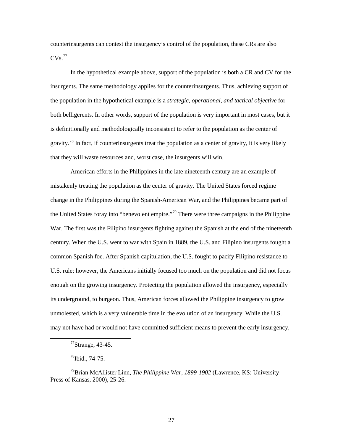counterinsurgents can contest the insurgency's control of the population, these CRs are also  $CVs.<sup>77</sup>$ 

In the hypothetical example above, support of the population is both a CR and CV for the insurgents. The same methodology applies for the counterinsurgents. Thus, achieving support of the population in the hypothetical example is a *strategic, operational, and tactical objective* for both belligerents. In other words, support of the population is very important in most cases, but it is definitionally and methodologically inconsistent to refer to the population as the center of gravity.<sup>78</sup> In fact, if counterinsurgents treat the population as a center of gravity, it is very likely that they will waste resources and, worst case, the insurgents will win.

American efforts in the Philippines in the late nineteenth century are an example of mistakenly treating the population as the center of gravity. The United States forced regime change in the Philippines during the Spanish-American War, and the Philippines became part of the United States foray into "benevolent empire."79 There were three campaigns in the Philippine War. The first was the Filipino insurgents fighting against the Spanish at the end of the nineteenth century. When the U.S. went to war with Spain in 1889, the U.S. and Filipino insurgents fought a common Spanish foe. After Spanish capitulation, the U.S. fought to pacify Filipino resistance to U.S. rule; however, the Americans initially focused too much on the population and did not focus enough on the growing insurgency. Protecting the population allowed the insurgency, especially its underground, to burgeon. Thus, American forces allowed the Philippine insurgency to grow unmolested, which is a very vulnerable time in the evolution of an insurgency. While the U.S. may not have had or would not have committed sufficient means to prevent the early insurgency,

 $^{77}$ Strange, 43-45.

 $^{78}$ Ibid., 74-75.

<sup>79</sup>Brian McAllister Linn, *The Philippine War, 1899-1902* (Lawrence, KS: University Press of Kansas, 2000), 25-26.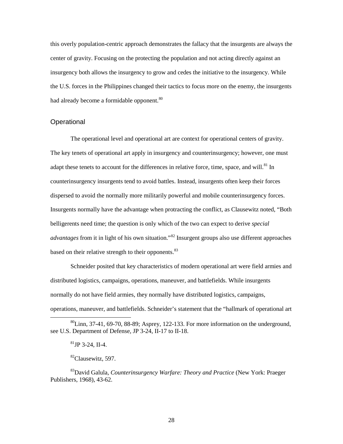this overly population-centric approach demonstrates the fallacy that the insurgents are always the center of gravity. Focusing on the protecting the population and not acting directly against an insurgency both allows the insurgency to grow and cedes the initiative to the insurgency. While the U.S. forces in the Philippines changed their tactics to focus more on the enemy, the insurgents had already become a formidable opponent.<sup>80</sup>

#### **Operational**

The operational level and operational art are context for operational centers of gravity. The key tenets of operational art apply in insurgency and counterinsurgency; however, one must adapt these tenets to account for the differences in relative force, time, space, and will.<sup>81</sup> In counterinsurgency insurgents tend to avoid battles. Instead, insurgents often keep their forces dispersed to avoid the normally more militarily powerful and mobile counterinsurgency forces. Insurgents normally have the advantage when protracting the conflict, as Clausewitz noted, "Both belligerents need time; the question is only which of the two can expect to derive *special advantages* from it in light of his own situation.<sup>82</sup> Insurgent groups also use different approaches based on their relative strength to their opponents.<sup>83</sup>

Schneider posited that key characteristics of modern operational art were field armies and distributed logistics, campaigns, operations, maneuver, and battlefields. While insurgents normally do not have field armies, they normally have distributed logistics, campaigns, operations, maneuver, and battlefields. Schneider's statement that the "hallmark of operational art

 ${}^{80}$ Linn, 37-41, 69-70, 88-89; Asprey, 122-133. For more information on the underground, see U.S. Department of Defense, JP 3-24, II-17 to II-18.

 ${}^{81}$ JP 3-24, II-4.

<sup>&</sup>lt;sup>82</sup>Clausewitz, 597.

<sup>83</sup>David Galula, *Counterinsurgency Warfare: Theory and Practice* (New York: Praeger Publishers, 1968), 43-62.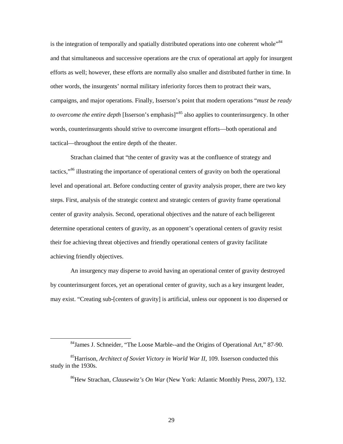is the integration of temporally and spatially distributed operations into one coherent whole<sup>"84</sup> and that simultaneous and successive operations are the crux of operational art apply for insurgent efforts as well; however, these efforts are normally also smaller and distributed further in time. In other words, the insurgents' normal military inferiority forces them to protract their wars, campaigns, and major operations. Finally, Isserson's point that modern operations "*must be ready to overcome the entire depth* [Isserson's emphasis]<sup>35</sup> also applies to counterinsurgency. In other words, counterinsurgents should strive to overcome insurgent efforts—both operational and tactical—throughout the entire depth of the theater.

Strachan claimed that "the center of gravity was at the confluence of strategy and tactics,"<sup>86</sup> illustrating the importance of operational centers of gravity on both the operational level and operational art. Before conducting center of gravity analysis proper, there are two key steps. First, analysis of the strategic context and strategic centers of gravity frame operational center of gravity analysis. Second, operational objectives and the nature of each belligerent determine operational centers of gravity, as an opponent's operational centers of gravity resist their foe achieving threat objectives and friendly operational centers of gravity facilitate achieving friendly objectives.

An insurgency may disperse to avoid having an operational center of gravity destroyed by counterinsurgent forces, yet an operational center of gravity, such as a key insurgent leader, may exist. "Creating sub-[centers of gravity] is artificial, unless our opponent is too dispersed or

 <sup>84</sup>James J. Schneider, "The Loose Marble--and the Origins of Operational Art," 87-90.

<sup>85</sup>Harrison, *Architect of Soviet Victory in World War II*, 109. Isserson conducted this study in the 1930s.

<sup>86</sup>Hew Strachan, *Clausewitz's On War* (New York: Atlantic Monthly Press, 2007), 132.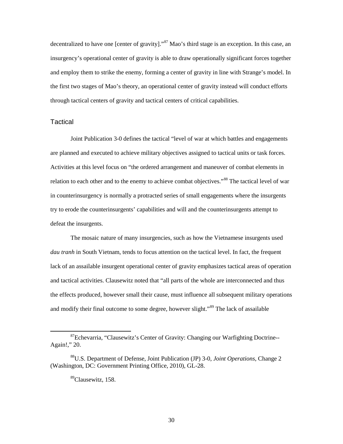decentralized to have one [center of gravity]."<sup>87</sup> Mao's third stage is an exception. In this case, an insurgency's operational center of gravity is able to draw operationally significant forces together and employ them to strike the enemy, forming a center of gravity in line with Strange's model. In the first two stages of Mao's theory, an operational center of gravity instead will conduct efforts through tactical centers of gravity and tactical centers of critical capabilities.

#### **Tactical**

Joint Publication 3-0 defines the tactical "level of war at which battles and engagements are planned and executed to achieve military objectives assigned to tactical units or task forces. Activities at this level focus on "the ordered arrangement and maneuver of combat elements in relation to each other and to the enemy to achieve combat objectives."<sup>88</sup> The tactical level of war in counterinsurgency is normally a protracted series of small engagements where the insurgents try to erode the counterinsurgents' capabilities and will and the counterinsurgents attempt to defeat the insurgents.

The mosaic nature of many insurgencies, such as how the Vietnamese insurgents used *dau tranh* in South Vietnam, tends to focus attention on the tactical level. In fact, the frequent lack of an assailable insurgent operational center of gravity emphasizes tactical areas of operation and tactical activities. Clausewitz noted that "all parts of the whole are interconnected and thus the effects produced, however small their cause, must influence all subsequent military operations and modify their final outcome to some degree, however slight."<sup>89</sup> The lack of assailable

 <sup>87</sup>Echevarria, "Clausewitz's Center of Gravity: Changing our Warfighting Doctrine-- Again!," 20.

<sup>88</sup>U.S. Department of Defense, Joint Publication (JP) 3-0, *Joint Operations*, Change 2 (Washington, DC: Government Printing Office, 2010), GL-28.

<sup>89</sup>Clausewitz, 158.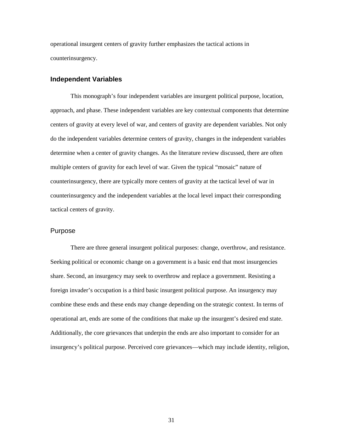operational insurgent centers of gravity further emphasizes the tactical actions in counterinsurgency.

#### **Independent Variables**

This monograph's four independent variables are insurgent political purpose, location, approach, and phase. These independent variables are key contextual components that determine centers of gravity at every level of war, and centers of gravity are dependent variables. Not only do the independent variables determine centers of gravity, changes in the independent variables determine when a center of gravity changes. As the literature review discussed, there are often multiple centers of gravity for each level of war. Given the typical "mosaic" nature of counterinsurgency, there are typically more centers of gravity at the tactical level of war in counterinsurgency and the independent variables at the local level impact their corresponding tactical centers of gravity.

#### Purpose

There are three general insurgent political purposes: change, overthrow, and resistance. Seeking political or economic change on a government is a basic end that most insurgencies share. Second, an insurgency may seek to overthrow and replace a government. Resisting a foreign invader's occupation is a third basic insurgent political purpose. An insurgency may combine these ends and these ends may change depending on the strategic context. In terms of operational art, ends are some of the conditions that make up the insurgent's desired end state. Additionally, the core grievances that underpin the ends are also important to consider for an insurgency's political purpose. Perceived core grievances—which may include identity, religion,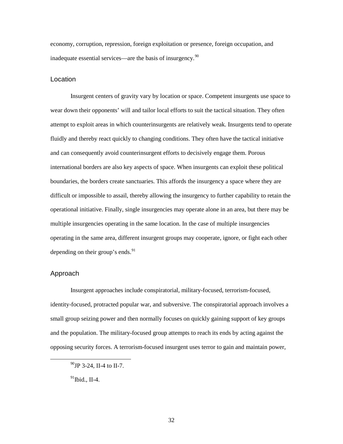economy, corruption, repression, foreign exploitation or presence, foreign occupation, and inadequate essential services—are the basis of insurgency.<sup>90</sup>

### Location

Insurgent centers of gravity vary by location or space. Competent insurgents use space to wear down their opponents' will and tailor local efforts to suit the tactical situation. They often attempt to exploit areas in which counterinsurgents are relatively weak. Insurgents tend to operate fluidly and thereby react quickly to changing conditions. They often have the tactical initiative and can consequently avoid counterinsurgent efforts to decisively engage them. Porous international borders are also key aspects of space. When insurgents can exploit these political boundaries, the borders create sanctuaries. This affords the insurgency a space where they are difficult or impossible to assail, thereby allowing the insurgency to further capability to retain the operational initiative. Finally, single insurgencies may operate alone in an area, but there may be multiple insurgencies operating in the same location. In the case of multiple insurgencies operating in the same area, different insurgent groups may cooperate, ignore, or fight each other depending on their group's ends. $91$ 

#### Approach

Insurgent approaches include conspiratorial, military-focused, terrorism-focused, identity-focused, protracted popular war, and subversive. The conspiratorial approach involves a small group seizing power and then normally focuses on quickly gaining support of key groups and the population. The military-focused group attempts to reach its ends by acting against the opposing security forces. A terrorism-focused insurgent uses terror to gain and maintain power,

 $^{90}$ JP 3-24, II-4 to II-7.

 $91$ Ibid., II-4.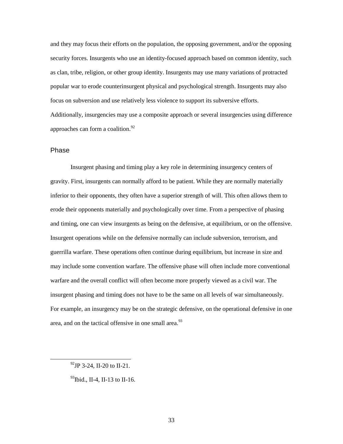and they may focus their efforts on the population, the opposing government, and/or the opposing security forces. Insurgents who use an identity-focused approach based on common identity, such as clan, tribe, religion, or other group identity. Insurgents may use many variations of protracted popular war to erode counterinsurgent physical and psychological strength. Insurgents may also focus on subversion and use relatively less violence to support its subversive efforts. Additionally, insurgencies may use a composite approach or several insurgencies using difference approaches can form a coalition.<sup>92</sup>

### Phase

Insurgent phasing and timing play a key role in determining insurgency centers of gravity. First, insurgents can normally afford to be patient. While they are normally materially inferior to their opponents, they often have a superior strength of will. This often allows them to erode their opponents materially and psychologically over time. From a perspective of phasing and timing, one can view insurgents as being on the defensive, at equilibrium, or on the offensive. Insurgent operations while on the defensive normally can include subversion, terrorism, and guerrilla warfare. These operations often continue during equilibrium, but increase in size and may include some convention warfare. The offensive phase will often include more conventional warfare and the overall conflict will often become more properly viewed as a civil war. The insurgent phasing and timing does not have to be the same on all levels of war simultaneously. For example, an insurgency may be on the strategic defensive, on the operational defensive in one area, and on the tactical offensive in one small area.<sup>93</sup>

 <sup>92</sup>JP 3-24, II-20 to II-21.

 $^{93}$ Ibid., II-4, II-13 to II-16.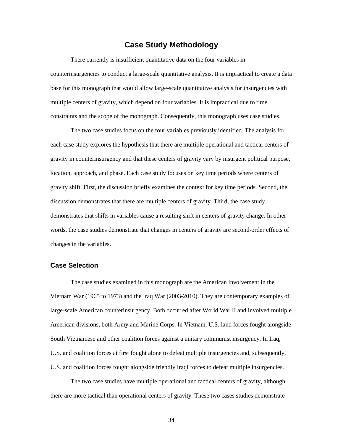# **Case Study Methodology**

There currently is insufficient quantitative data on the four variables in counterinsurgencies to conduct a large-scale quantitative analysis. It is impractical to create a data base for this monograph that would allow large-scale quantitative analysis for insurgencies with multiple centers of gravity, which depend on four variables. It is impractical due to time constraints and the scope of the monograph. Consequently, this monograph uses case studies.

The two case studies focus on the four variables previously identified. The analysis for each case study explores the hypothesis that there are multiple operational and tactical centers of gravity in counterinsurgency and that these centers of gravity vary by insurgent political purpose, location, approach, and phase. Each case study focuses on key time periods where centers of gravity shift. First, the discussion briefly examines the context for key time periods. Second, the discussion demonstrates that there are multiple centers of gravity. Third, the case study demonstrates that shifts in variables cause a resulting shift in centers of gravity change. In other words, the case studies demonstrate that changes in centers of gravity are second-order effects of changes in the variables.

### **Case Selection**

The case studies examined in this monograph are the American involvement in the Vietnam War (1965 to 1973) and the Iraq War (2003-2010). They are contemporary examples of large-scale American counterinsurgency. Both occurred after World War II and involved multiple American divisions, both Army and Marine Corps. In Vietnam, U.S. land forces fought alongside South Vietnamese and other coalition forces against a unitary communist insurgency. In Iraq, U.S. and coalition forces at first fought alone to defeat multiple insurgencies and, subsequently, U.S. and coalition forces fought alongside friendly Iraqi forces to defeat multiple insurgencies.

The two case studies have multiple operational and tactical centers of gravity, although there are more tactical than operational centers of gravity. These two cases studies demonstrate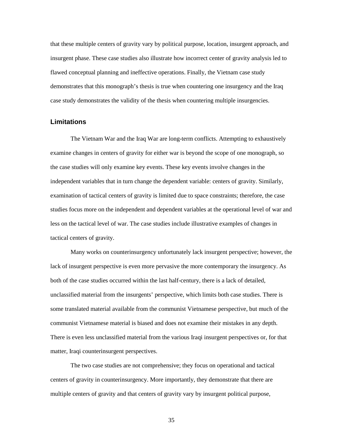that these multiple centers of gravity vary by political purpose, location, insurgent approach, and insurgent phase. These case studies also illustrate how incorrect center of gravity analysis led to flawed conceptual planning and ineffective operations. Finally, the Vietnam case study demonstrates that this monograph's thesis is true when countering one insurgency and the Iraq case study demonstrates the validity of the thesis when countering multiple insurgencies.

### **Limitations**

The Vietnam War and the Iraq War are long-term conflicts. Attempting to exhaustively examine changes in centers of gravity for either war is beyond the scope of one monograph, so the case studies will only examine key events. These key events involve changes in the independent variables that in turn change the dependent variable: centers of gravity. Similarly, examination of tactical centers of gravity is limited due to space constraints; therefore, the case studies focus more on the independent and dependent variables at the operational level of war and less on the tactical level of war. The case studies include illustrative examples of changes in tactical centers of gravity.

Many works on counterinsurgency unfortunately lack insurgent perspective; however, the lack of insurgent perspective is even more pervasive the more contemporary the insurgency. As both of the case studies occurred within the last half-century, there is a lack of detailed, unclassified material from the insurgents' perspective, which limits both case studies. There is some translated material available from the communist Vietnamese perspective, but much of the communist Vietnamese material is biased and does not examine their mistakes in any depth. There is even less unclassified material from the various Iraqi insurgent perspectives or, for that matter, Iraqi counterinsurgent perspectives.

The two case studies are not comprehensive; they focus on operational and tactical centers of gravity in counterinsurgency. More importantly, they demonstrate that there are multiple centers of gravity and that centers of gravity vary by insurgent political purpose,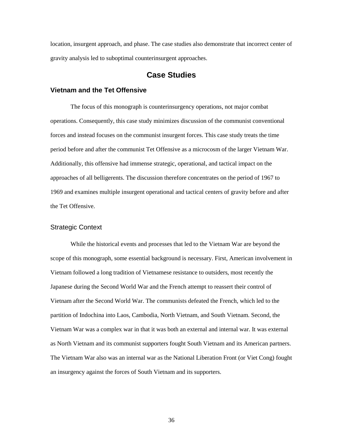location, insurgent approach, and phase. The case studies also demonstrate that incorrect center of gravity analysis led to suboptimal counterinsurgent approaches.

# **Case Studies**

## **Vietnam and the Tet Offensive**

The focus of this monograph is counterinsurgency operations, not major combat operations. Consequently, this case study minimizes discussion of the communist conventional forces and instead focuses on the communist insurgent forces. This case study treats the time period before and after the communist Tet Offensive as a microcosm of the larger Vietnam War. Additionally, this offensive had immense strategic, operational, and tactical impact on the approaches of all belligerents. The discussion therefore concentrates on the period of 1967 to 1969 and examines multiple insurgent operational and tactical centers of gravity before and after the Tet Offensive.

### Strategic Context

While the historical events and processes that led to the Vietnam War are beyond the scope of this monograph, some essential background is necessary. First, American involvement in Vietnam followed a long tradition of Vietnamese resistance to outsiders, most recently the Japanese during the Second World War and the French attempt to reassert their control of Vietnam after the Second World War. The communists defeated the French, which led to the partition of Indochina into Laos, Cambodia, North Vietnam, and South Vietnam. Second, the Vietnam War was a complex war in that it was both an external and internal war. It was external as North Vietnam and its communist supporters fought South Vietnam and its American partners. The Vietnam War also was an internal war as the National Liberation Front (or Viet Cong) fought an insurgency against the forces of South Vietnam and its supporters.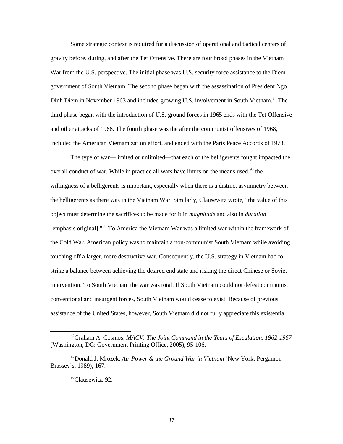Some strategic context is required for a discussion of operational and tactical centers of gravity before, during, and after the Tet Offensive. There are four broad phases in the Vietnam War from the U.S. perspective. The initial phase was U.S. security force assistance to the Diem government of South Vietnam. The second phase began with the assassination of President Ngo Dinh Diem in November 1963 and included growing U.S. involvement in South Vietnam.<sup>94</sup> The third phase began with the introduction of U.S. ground forces in 1965 ends with the Tet Offensive and other attacks of 1968. The fourth phase was the after the communist offensives of 1968, included the American Vietnamization effort, and ended with the Paris Peace Accords of 1973.

The type of war—limited or unlimited—that each of the belligerents fought impacted the overall conduct of war. While in practice all wars have limits on the means used,  $95$  the willingness of a belligerents is important, especially when there is a distinct asymmetry between the belligerents as there was in the Vietnam War. Similarly, Clausewitz wrote, "the value of this object must determine the sacrifices to be made for it in *magnitude* and also in *duration* [emphasis original]."96 To America the Vietnam War was a limited war within the framework of the Cold War. American policy was to maintain a non-communist South Vietnam while avoiding touching off a larger, more destructive war. Consequently, the U.S. strategy in Vietnam had to strike a balance between achieving the desired end state and risking the direct Chinese or Soviet intervention. To South Vietnam the war was total. If South Vietnam could not defeat communist conventional and insurgent forces, South Vietnam would cease to exist. Because of previous assistance of the United States, however, South Vietnam did not fully appreciate this existential

 <sup>94</sup>Graham A. Cosmos, *MACV: The Joint Command in the Years of Escalation, 1962-1967* (Washington, DC: Government Printing Office, 2005), 95-106.

<sup>95</sup>Donald J. Mrozek, *Air Power & the Ground War in Vietnam* (New York: Pergamon-Brassey's, 1989), 167.

<sup>&</sup>lt;sup>96</sup>Clausewitz, 92.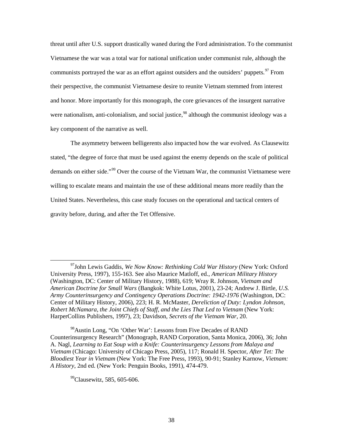threat until after U.S. support drastically waned during the Ford administration. To the communist Vietnamese the war was a total war for national unification under communist rule, although the communists portrayed the war as an effort against outsiders and the outsiders' puppets.<sup>97</sup> From their perspective, the communist Vietnamese desire to reunite Vietnam stemmed from interest and honor. More importantly for this monograph, the core grievances of the insurgent narrative were nationalism, anti-colonialism, and social justice,<sup>98</sup> although the communist ideology was a key component of the narrative as well.

The asymmetry between belligerents also impacted how the war evolved. As Clausewitz stated, "the degree of force that must be used against the enemy depends on the scale of political demands on either side."<sup>99</sup> Over the course of the Vietnam War, the communist Vietnamese were willing to escalate means and maintain the use of these additional means more readily than the United States. Nevertheless, this case study focuses on the operational and tactical centers of gravity before, during, and after the Tet Offensive.

<sup>98</sup>Austin Long, "On 'Other War': Lessons from Five Decades of RAND Counterinsurgency Research" (Monograph, RAND Corporation, Santa Monica, 2006), 36; John A. Nagl, *Learning to Eat Soup with a Knife: Counterinsurgency Lessons from Malaya and Vietnam* (Chicago: University of Chicago Press, 2005), 117; Ronald H. Spector, *After Tet: The Bloodiest Year in Vietnam* (New York: The Free Press, 1993), 90-91; Stanley Karnow, *Vietnam: A History*, 2nd ed. (New York: Penguin Books, 1991), 474-479.

<sup>99</sup>Clausewitz, 585, 605-606.

 <sup>97</sup>John Lewis Gaddis, *We Now Know: Rethinking Cold War History* (New York: Oxford University Press, 1997), 155-163. See also Maurice Matloff, ed., *American Military History* (Washington, DC: Center of Military History, 1988), 619; Wray R. Johnson, *Vietnam and American Doctrine for Small Wars* (Bangkok: White Lotus, 2001), 23-24; Andrew J. Birtle, *U.S. Army Counterinsurgency and Contingency Operations Doctrine: 1942-1976* (Washington, DC: Center of Military History, 2006), 223; H. R. McMaster, *Dereliction of Duty: Lyndon Johnson, Robert McNamara, the Joint Chiefs of Staff, and the Lies That Led to Vietnam* (New York: HarperCollins Publishers, 1997), 23; Davidson, *Secrets of the Vietnam War*, 20.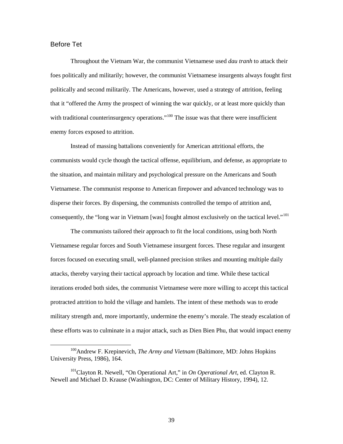# Before Tet

Throughout the Vietnam War, the communist Vietnamese used *dau tranh* to attack their foes politically and militarily; however, the communist Vietnamese insurgents always fought first politically and second militarily. The Americans, however, used a strategy of attrition, feeling that it "offered the Army the prospect of winning the war quickly, or at least more quickly than with traditional counterinsurgency operations."<sup>100</sup> The issue was that there were insufficient enemy forces exposed to attrition.

Instead of massing battalions conveniently for American attritional efforts, the communists would cycle though the tactical offense, equilibrium, and defense, as appropriate to the situation, and maintain military and psychological pressure on the Americans and South Vietnamese. The communist response to American firepower and advanced technology was to disperse their forces. By dispersing, the communists controlled the tempo of attrition and, consequently, the "long war in Vietnam [was] fought almost exclusively on the tactical level."<sup>101</sup>

The communists tailored their approach to fit the local conditions, using both North Vietnamese regular forces and South Vietnamese insurgent forces. These regular and insurgent forces focused on executing small, well-planned precision strikes and mounting multiple daily attacks, thereby varying their tactical approach by location and time. While these tactical iterations eroded both sides, the communist Vietnamese were more willing to accept this tactical protracted attrition to hold the village and hamlets. The intent of these methods was to erode military strength and, more importantly, undermine the enemy's morale. The steady escalation of these efforts was to culminate in a major attack, such as Dien Bien Phu, that would impact enemy

 <sup>100</sup>Andrew F. Krepinevich, *The Army and Vietnam* (Baltimore, MD: Johns Hopkins University Press, 1986), 164.

<sup>101</sup>Clayton R. Newell, "On Operational Art," in *On Operational Art*, ed. Clayton R. Newell and Michael D. Krause (Washington, DC: Center of Military History, 1994), 12.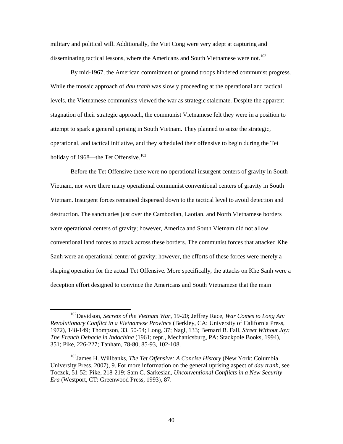military and political will. Additionally, the Viet Cong were very adept at capturing and disseminating tactical lessons, where the Americans and South Vietnamese were not.<sup>102</sup>

By mid-1967, the American commitment of ground troops hindered communist progress. While the mosaic approach of *dau tranh* was slowly proceeding at the operational and tactical levels, the Vietnamese communists viewed the war as strategic stalemate. Despite the apparent stagnation of their strategic approach, the communist Vietnamese felt they were in a position to attempt to spark a general uprising in South Vietnam. They planned to seize the strategic, operational, and tactical initiative, and they scheduled their offensive to begin during the Tet holiday of 1968—the Tet Offensive.<sup>103</sup>

Before the Tet Offensive there were no operational insurgent centers of gravity in South Vietnam, nor were there many operational communist conventional centers of gravity in South Vietnam. Insurgent forces remained dispersed down to the tactical level to avoid detection and destruction. The sanctuaries just over the Cambodian, Laotian, and North Vietnamese borders were operational centers of gravity; however, America and South Vietnam did not allow conventional land forces to attack across these borders. The communist forces that attacked Khe Sanh were an operational center of gravity; however, the efforts of these forces were merely a shaping operation for the actual Tet Offensive. More specifically, the attacks on Khe Sanh were a deception effort designed to convince the Americans and South Vietnamese that the main

 <sup>102</sup>Davidson, *Secrets of the Vietnam War*, 19-20; Jeffrey Race, *War Comes to Long An: Revolutionary Conflict in a Vietnamese Province* (Berkley, CA: University of California Press, 1972), 148-149; Thompson, 33, 50-54; Long, 37; Nagl, 133; Bernard B. Fall, *Street Without Joy: The French Debacle in Indochina* (1961; repr., Mechanicsburg, PA: Stackpole Books, 1994), 351; Pike, 226-227; Tanham, 78-80, 85-93, 102-108.

<sup>103</sup>James H. Willbanks, *The Tet Offensive: A Concise History* (New York: Columbia University Press, 2007), 9. For more information on the general uprising aspect of *dau tranh*, see Toczek, 51-52; Pike, 218-219; Sam C. Sarkesian, *Unconventional Conflicts in a New Security Era* (Westport, CT: Greenwood Press, 1993), 87.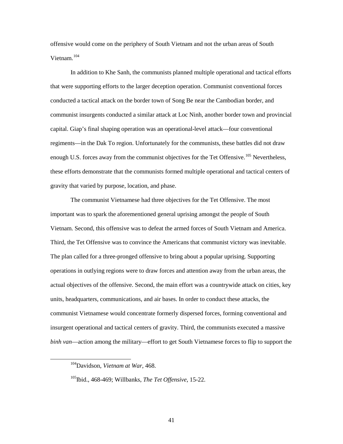offensive would come on the periphery of South Vietnam and not the urban areas of South Vietnam. 104

In addition to Khe Sanh, the communists planned multiple operational and tactical efforts that were supporting efforts to the larger deception operation. Communist conventional forces conducted a tactical attack on the border town of Song Be near the Cambodian border, and communist insurgents conducted a similar attack at Loc Ninh, another border town and provincial capital. Giap's final shaping operation was an operational-level attack—four conventional regiments—in the Dak To region. Unfortunately for the communists, these battles did not draw enough U.S. forces away from the communist objectives for the Tet Offensive.<sup>105</sup> Nevertheless, these efforts demonstrate that the communists formed multiple operational and tactical centers of gravity that varied by purpose, location, and phase.

The communist Vietnamese had three objectives for the Tet Offensive. The most important was to spark the aforementioned general uprising amongst the people of South Vietnam. Second, this offensive was to defeat the armed forces of South Vietnam and America. Third, the Tet Offensive was to convince the Americans that communist victory was inevitable. The plan called for a three-pronged offensive to bring about a popular uprising. Supporting operations in outlying regions were to draw forces and attention away from the urban areas, the actual objectives of the offensive. Second, the main effort was a countrywide attack on cities, key units, headquarters, communications, and air bases. In order to conduct these attacks, the communist Vietnamese would concentrate formerly dispersed forces, forming conventional and insurgent operational and tactical centers of gravity. Third, the communists executed a massive *binh van*—action among the military—effort to get South Vietnamese forces to flip to support the

 <sup>104</sup>Davidson, *Vietnam at War*, 468.

<sup>105</sup>Ibid., 468-469; Willbanks, *The Tet Offensive*, 15-22.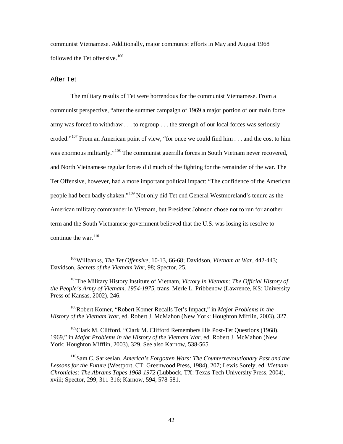communist Vietnamese. Additionally, major communist efforts in May and August 1968 followed the Tet offensive.  $106$ 

### After Tet

The military results of Tet were horrendous for the communist Vietnamese. From a communist perspective, "after the summer campaign of 1969 a major portion of our main force army was forced to withdraw . . . to regroup . . . the strength of our local forces was seriously eroded."<sup>107</sup> From an American point of view, "for once we could find him  $\dots$  and the cost to him was enormous militarily."<sup>108</sup> The communist guerrilla forces in South Vietnam never recovered, and North Vietnamese regular forces did much of the fighting for the remainder of the war. The Tet Offensive, however, had a more important political impact: "The confidence of the American people had been badly shaken."<sup>109</sup> Not only did Tet end General Westmoreland's tenure as the American military commander in Vietnam, but President Johnson chose not to run for another term and the South Vietnamese government believed that the U.S. was losing its resolve to continue the war. $110$ 

108Robert Komer, "Robert Komer Recalls Tet's Impact," in *Major Problems in the History of the Vietnam War*, ed. Robert J. McMahon (New York: Houghton Mifflin, 2003), 327.

 $109$ Clark M. Clifford, "Clark M. Clifford Remembers His Post-Tet Questions (1968), 1969," in *Major Problems in the History of the Vietnam War*, ed. Robert J. McMahon (New York: Houghton Mifflin, 2003), 329. See also Karnow, 538-565.

110Sam C. Sarkesian, *America's Forgotten Wars: The Counterrevolutionary Past and the Lessons for the Future* (Westport, CT: Greenwood Press, 1984), 207; Lewis Sorely, ed. *Vietnam Chronicles: The Abrams Tapes 1968-1972* (Lubbock, TX: Texas Tech University Press, 2004), xviii; Spector, 299, 311-316; Karnow, 594, 578-581.

 <sup>106</sup>Willbanks, *The Tet Offensive*, 10-13, 66-68; Davidson, *Vietnam at War*, 442-443; Davidson, *Secrets of the Vietnam War*, 98; Spector, 25.

<sup>107</sup>The Military History Institute of Vietnam, *Victory in Vietnam: The Official History of the People's Army of Vietnam, 1954-1975*, trans. Merle L. Pribbenow (Lawrence, KS: University Press of Kansas, 2002), 246.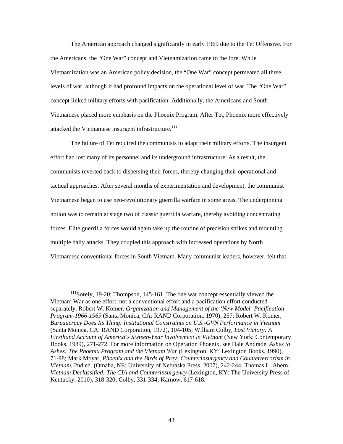The American approach changed significantly in early 1969 due to the Tet Offensive. For the Americans, the "One War" concept and Vietnamization came to the fore. While Vietnamization was an American policy decision, the "One War" concept permeated all three levels of war, although it had profound impacts on the operational level of war. The "One War" concept linked military efforts with pacification. Additionally, the Americans and South Vietnamese placed more emphasis on the Phoenix Program. After Tet, Phoenix more effectively attacked the Vietnamese insurgent infrastructure.<sup>111</sup>

The failure of Tet required the communists to adapt their military efforts. The insurgent effort had lost many of its personnel and its underground infrastructure. As a result, the communists reverted back to dispersing their forces, thereby changing their operational and tactical approaches. After several months of experimentation and development, the communist Vietnamese began to use neo-revolutionary guerrilla warfare in some areas. The underpinning notion was to remain at stage two of classic guerrilla warfare, thereby avoiding concentrating forces. Elite guerrilla forces would again take up the routine of precision strikes and mounting multiple daily attacks. They coupled this approach with increased operations by North Vietnamese conventional forces in South Vietnam. Many communist leaders, however, felt that

<sup>&</sup>lt;sup>111</sup>Sorely, 19-20; Thompson, 145-161. The one war concept essentially viewed the Vietnam War as one effort, not a conventional effort and a pacification effort conducted separately. Robert W. Komer, *Organization and Management of the 'New Model' Pacification Program-1966-1969* (Santa Monica, CA: RAND Corporation, 1970), 257; Robert W. Komer, *Bureaucracy Does Its Thing: Institutional Constraints on U.S.-GVN Performance in Vietnam* (Santa Monica, CA: RAND Corporation, 1972), 104-105; William Colby, *Lost Victory: A Firsthand Account of America's Sixteen-Year Involvement in Vietnam* (New York: Contemporary Books, 1989), 271-272. For more information on Operation Phoenix, see Dale Andrade, *Ashes to Ashes: The Phoenix Program and the Vietnam War* (Lexington, KY: Lexington Books, 1990), 71-98; Mark Moyar, *Phoenix and the Birds of Prey: Counterinsurgency and Counterterrorism in Vietnam*, 2nd ed. (Omaha, NE: University of Nebraska Press, 2007), 242-244; Thomas L. Ahern, *Vietnam Declassified: The CIA and Counterinsurgency* (Lexington, KY: The University Press of Kentucky, 2010), 318-320; Colby, 331-334; Karnow, 617-618.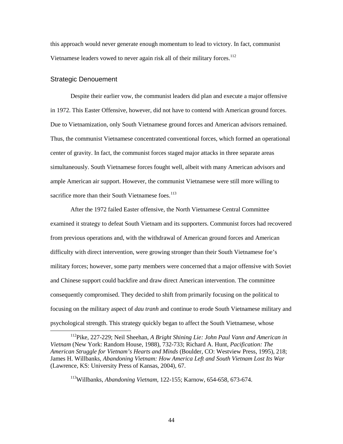this approach would never generate enough momentum to lead to victory. In fact, communist Vietnamese leaders vowed to never again risk all of their military forces.<sup>112</sup>

### Strategic Denouement

Despite their earlier vow, the communist leaders did plan and execute a major offensive in 1972. This Easter Offensive, however, did not have to contend with American ground forces. Due to Vietnamization, only South Vietnamese ground forces and American advisors remained. Thus, the communist Vietnamese concentrated conventional forces, which formed an operational center of gravity. In fact, the communist forces staged major attacks in three separate areas simultaneously. South Vietnamese forces fought well, albeit with many American advisors and ample American air support. However, the communist Vietnamese were still more willing to sacrifice more than their South Vietnamese foes.<sup>113</sup>

After the 1972 failed Easter offensive, the North Vietnamese Central Committee examined it strategy to defeat South Vietnam and its supporters. Communist forces had recovered from previous operations and, with the withdrawal of American ground forces and American difficulty with direct intervention, were growing stronger than their South Vietnamese foe's military forces; however, some party members were concerned that a major offensive with Soviet and Chinese support could backfire and draw direct American intervention. The committee consequently compromised. They decided to shift from primarily focusing on the political to focusing on the military aspect of *dau tranh* and continue to erode South Vietnamese military and psychological strength. This strategy quickly began to affect the South Vietnamese, whose

 <sup>112</sup>Pike, 227-229; Neil Sheehan, *A Bright Shining Lie: John Paul Vann and American in Vietnam* (New York: Random House, 1988), 732-733; Richard A. Hunt, *Pacification: The American Struggle for Vietnam's Hearts and Minds* (Boulder, CO: Westview Press, 1995), 218; James H. Willbanks, *Abandoning Vietnam: How America Left and South Vietnam Lost Its War* (Lawrence, KS: University Press of Kansas, 2004), 67.

<sup>113</sup>Willbanks, *Abandoning Vietnam*, 122-155; Karnow, 654-658, 673-674.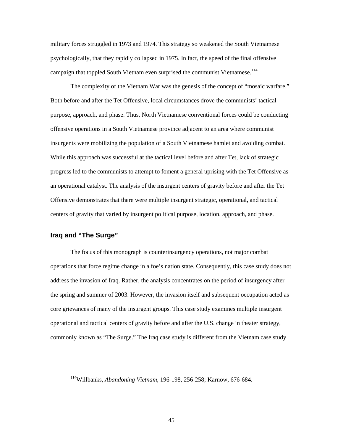military forces struggled in 1973 and 1974. This strategy so weakened the South Vietnamese psychologically, that they rapidly collapsed in 1975. In fact, the speed of the final offensive campaign that toppled South Vietnam even surprised the communist Vietnamese.<sup>114</sup>

The complexity of the Vietnam War was the genesis of the concept of "mosaic warfare." Both before and after the Tet Offensive, local circumstances drove the communists' tactical purpose, approach, and phase. Thus, North Vietnamese conventional forces could be conducting offensive operations in a South Vietnamese province adjacent to an area where communist insurgents were mobilizing the population of a South Vietnamese hamlet and avoiding combat. While this approach was successful at the tactical level before and after Tet, lack of strategic progress led to the communists to attempt to foment a general uprising with the Tet Offensive as an operational catalyst. The analysis of the insurgent centers of gravity before and after the Tet Offensive demonstrates that there were multiple insurgent strategic, operational, and tactical centers of gravity that varied by insurgent political purpose, location, approach, and phase.

# **Iraq and "The Surge"**

The focus of this monograph is counterinsurgency operations, not major combat operations that force regime change in a foe's nation state. Consequently, this case study does not address the invasion of Iraq. Rather, the analysis concentrates on the period of insurgency after the spring and summer of 2003. However, the invasion itself and subsequent occupation acted as core grievances of many of the insurgent groups. This case study examines multiple insurgent operational and tactical centers of gravity before and after the U.S. change in theater strategy, commonly known as "The Surge." The Iraq case study is different from the Vietnam case study

 <sup>114</sup>Willbanks, *Abandoning Vietnam*, 196-198, 256-258; Karnow, 676-684.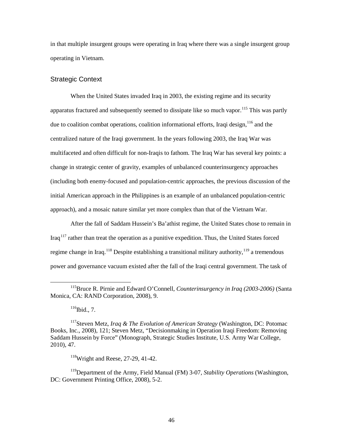in that multiple insurgent groups were operating in Iraq where there was a single insurgent group operating in Vietnam.

### Strategic Context

When the United States invaded Iraq in 2003, the existing regime and its security apparatus fractured and subsequently seemed to dissipate like so much vapor.<sup>115</sup> This was partly due to coalition combat operations, coalition informational efforts, Iraqi design,  $116$  and the centralized nature of the Iraqi government. In the years following 2003, the Iraq War was multifaceted and often difficult for non-Iraqis to fathom. The Iraq War has several key points: a change in strategic center of gravity, examples of unbalanced counterinsurgency approaches (including both enemy-focused and population-centric approaches, the previous discussion of the initial American approach in the Philippines is an example of an unbalanced population-centric approach), and a mosaic nature similar yet more complex than that of the Vietnam War.

After the fall of Saddam Hussein's Ba'athist regime, the United States chose to remain in Iraq117 rather than treat the operation as a punitive expedition. Thus, the United States forced regime change in Iraq.<sup>118</sup> Despite establishing a transitional military authority,<sup>119</sup> a tremendous power and governance vacuum existed after the fall of the Iraqi central government. The task of

 $116$ Ibid., 7.

 $118$ Wright and Reese, 27-29, 41-42.

 <sup>115</sup>Bruce R. Pirnie and Edward O'Connell, *Counterinsurgency in Iraq (2003-2006)* (Santa Monica, CA: RAND Corporation, 2008), 9.

<sup>117</sup>Steven Metz, *Iraq & The Evolution of American Strategy* (Washington, DC: Potomac Books, Inc., 2008), 121; Steven Metz, "Decisionmaking in Operation Iraqi Freedom: Removing Saddam Hussein by Force" (Monograph, Strategic Studies Institute, U.S. Army War College, 2010), 47.

<sup>119</sup>Department of the Army, Field Manual (FM) 3-07*, Stability Operations* (Washington, DC: Government Printing Office, 2008), 5-2.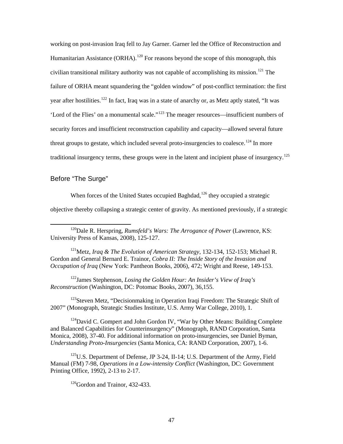working on post-invasion Iraq fell to Jay Garner. Garner led the Office of Reconstruction and Humanitarian Assistance (ORHA).<sup>120</sup> For reasons beyond the scope of this monograph, this civilian transitional military authority was not capable of accomplishing its mission.<sup>121</sup> The failure of ORHA meant squandering the "golden window" of post-conflict termination: the first year after hostilities.<sup>122</sup> In fact, Iraq was in a state of anarchy or, as Metz aptly stated, "It was 'Lord of the Flies' on a monumental scale."<sup>123</sup> The meager resources—insufficient numbers of security forces and insufficient reconstruction capability and capacity—allowed several future threat groups to gestate, which included several proto-insurgencies to coalesce.<sup>124</sup> In more traditional insurgency terms, these groups were in the latent and incipient phase of insurgency.<sup>125</sup>

## Before "The Surge"

When forces of the United States occupied Baghdad,<sup>126</sup> they occupied a strategic

objective thereby collapsing a strategic center of gravity. As mentioned previously, if a strategic

121Metz, *Iraq & The Evolution of American Strategy*, 132-134, 152-153; Michael R. Gordon and General Bernard E. Trainor, *Cobra II: The Inside Story of the Invasion and Occupation of Iraq* (New York: Pantheon Books, 2006), 472; Wright and Reese, 149-153.

122James Stephenson, *Losing the Golden Hour: An Insider's View of Iraq's Reconstruction* (Washington, DC: Potomac Books, 2007), 36,155.

<sup>123</sup>Steven Metz, "Decisionmaking in Operation Iraqi Freedom: The Strategic Shift of 2007" (Monograph, Strategic Studies Institute, U.S. Army War College, 2010), 1.

 $124$ David C. Gompert and John Gordon IV, "War by Other Means: Building Complete and Balanced Capabilities for Counterinsurgenc*y*" (Monograph, RAND Corporation, Santa Monica, 2008), 37-40. For additional information on proto-insurgencies, see Daniel Byman, *Understanding Proto-Insurgencies* (Santa Monica, CA: RAND Corporation, 2007), 1-6.

 $125$ U.S. Department of Defense, JP 3-24, II-14; U.S. Department of the Army, Field Manual (FM) 7-98, *Operations in a Low-intensity Conflict* (Washington, DC: Government Printing Office, 1992), 2-13 to 2-17.

 $126$ Gordon and Trainor, 432-433.

 <sup>120</sup>Dale R. Herspring, *Rumsfeld's Wars: The Arrogance of Power* (Lawrence, KS: University Press of Kansas, 2008), 125-127.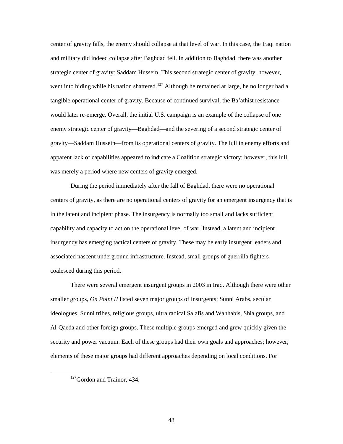center of gravity falls, the enemy should collapse at that level of war. In this case, the Iraqi nation and military did indeed collapse after Baghdad fell. In addition to Baghdad, there was another strategic center of gravity: Saddam Hussein. This second strategic center of gravity, however, went into hiding while his nation shattered.<sup>127</sup> Although he remained at large, he no longer had a tangible operational center of gravity. Because of continued survival, the Ba'athist resistance would later re-emerge. Overall, the initial U.S. campaign is an example of the collapse of one enemy strategic center of gravity—Baghdad—and the severing of a second strategic center of gravity—Saddam Hussein—from its operational centers of gravity. The lull in enemy efforts and apparent lack of capabilities appeared to indicate a Coalition strategic victory; however, this lull was merely a period where new centers of gravity emerged.

During the period immediately after the fall of Baghdad, there were no operational centers of gravity, as there are no operational centers of gravity for an emergent insurgency that is in the latent and incipient phase. The insurgency is normally too small and lacks sufficient capability and capacity to act on the operational level of war. Instead, a latent and incipient insurgency has emerging tactical centers of gravity. These may be early insurgent leaders and associated nascent underground infrastructure. Instead, small groups of guerrilla fighters coalesced during this period.

There were several emergent insurgent groups in 2003 in Iraq. Although there were other smaller groups, *On Point II* listed seven major groups of insurgents: Sunni Arabs, secular ideologues, Sunni tribes, religious groups, ultra radical Salafis and Wahhabis, Shia groups, and Al-Qaeda and other foreign groups. These multiple groups emerged and grew quickly given the security and power vacuum. Each of these groups had their own goals and approaches; however, elements of these major groups had different approaches depending on local conditions. For

<sup>&</sup>lt;sup>127</sup>Gordon and Trainor, 434.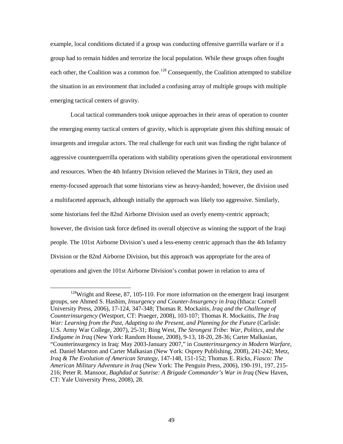example, local conditions dictated if a group was conducting offensive guerrilla warfare or if a group had to remain hidden and terrorize the local population. While these groups often fought each other, the Coalition was a common foe.<sup>128</sup> Consequently, the Coalition attempted to stabilize the situation in an environment that included a confusing array of multiple groups with multiple emerging tactical centers of gravity.

Local tactical commanders took unique approaches in their areas of operation to counter the emerging enemy tactical centers of gravity, which is appropriate given this shifting mosaic of insurgents and irregular actors. The real challenge for each unit was finding the right balance of aggressive counterguerrilla operations with stability operations given the operational environment and resources. When the 4th Infantry Division relieved the Marines in Tikrit, they used an enemy-focused approach that some historians view as heavy-handed; however, the division used a multifaceted approach, although initially the approach was likely too aggressive. Similarly, some historians feel the 82nd Airborne Division used an overly enemy-centric approach; however, the division task force defined its overall objective as winning the support of the Iraqi people. The 101st Airborne Division's used a less-enemy centric approach than the 4th Infantry Division or the 82nd Airborne Division, but this approach was appropriate for the area of operations and given the 101st Airborne Division's combat power in relation to area of

<sup>&</sup>lt;sup>128</sup>Wright and Reese, 87, 105-110. For more information on the emergent Iraqi insurgent groups, see Ahmed S. Hashim, *Insurgency and Counter-Insurgency in Iraq* (Ithaca: Cornell University Press, 2006), 17-124, 347-348; Thomas R. Mockaitis, *Iraq and the Challenge of Counterinsurgency* (Westport, CT: Praeger, 2008), 103-107; Thomas R. Mockaitis, *The Iraq War: Learning from the Past, Adapting to the Present, and Planning for the Future* (Carlisle: U.S. Army War College, 2007), 25-31; Bing West, *The Strongest Tribe: War, Politics, and the Endgame in Iraq* (New York: Random House, 2008), 9-13, 18-20, 28-36; Carter Malkasian, "Counterinsurgency in Iraq: May 2003-January 2007," in *Counterinsurgency in Modern Warfare*, ed. Daniel Marston and Carter Malkasian (New York: Osprey Publishing, 2008), 241-242; Metz, *Iraq & The Evolution of American Strategy*, 147-148, 151-152; Thomas E. Ricks, *Fiasco: The American Military Adventure in Iraq* (New York: The Penguin Press, 2006), 190-191, 197, 215- 216; Peter R. Mansoor, *Baghdad at Sunrise: A Brigade Commander's War in Iraq* (New Haven, CT: Yale University Press, 2008), 28.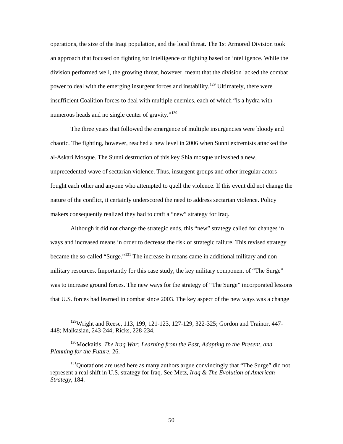operations, the size of the Iraqi population, and the local threat. The 1st Armored Division took an approach that focused on fighting for intelligence or fighting based on intelligence. While the division performed well, the growing threat, however, meant that the division lacked the combat power to deal with the emerging insurgent forces and instability.<sup>129</sup> Ultimately, there were insufficient Coalition forces to deal with multiple enemies, each of which "is a hydra with numerous heads and no single center of gravity."<sup>130</sup>

The three years that followed the emergence of multiple insurgencies were bloody and chaotic. The fighting, however, reached a new level in 2006 when Sunni extremists attacked the al-Askari Mosque. The Sunni destruction of this key Shia mosque unleashed a new, unprecedented wave of sectarian violence. Thus, insurgent groups and other irregular actors fought each other and anyone who attempted to quell the violence. If this event did not change the nature of the conflict, it certainly underscored the need to address sectarian violence. Policy makers consequently realized they had to craft a "new" strategy for Iraq.

Although it did not change the strategic ends, this "new" strategy called for changes in ways and increased means in order to decrease the risk of strategic failure. This revised strategy became the so-called "Surge."<sup>131</sup> The increase in means came in additional military and non military resources. Importantly for this case study, the key military component of "The Surge" was to increase ground forces. The new ways for the strategy of "The Surge" incorporated lessons that U.S. forces had learned in combat since 2003. The key aspect of the new ways was a change

<sup>&</sup>lt;sup>129</sup>Wright and Reese, 113, 199, 121-123, 127-129, 322-325; Gordon and Trainor, 447-448; Malkasian, 243-244; Ricks, 228-234.

<sup>130</sup>Mockaitis, *The Iraq War: Learning from the Past, Adapting to the Present, and Planning for the Future*, 26.

<sup>&</sup>lt;sup>131</sup>Quotations are used here as many authors argue convincingly that "The Surge" did not represent a real shift in U.S. strategy for Iraq. See Metz, *Iraq & The Evolution of American Strategy*, 184.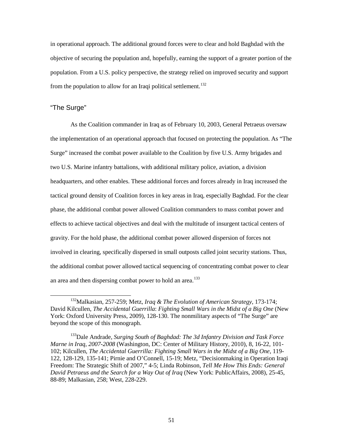in operational approach. The additional ground forces were to clear and hold Baghdad with the objective of securing the population and, hopefully, earning the support of a greater portion of the population. From a U.S. policy perspective, the strategy relied on improved security and support from the population to allow for an Iraqi political settlement.<sup>132</sup>

# "The Surge"

As the Coalition commander in Iraq as of February 10, 2003, General Petraeus oversaw the implementation of an operational approach that focused on protecting the population. As "The Surge" increased the combat power available to the Coalition by five U.S. Army brigades and two U.S. Marine infantry battalions, with additional military police, aviation, a division headquarters, and other enables. These additional forces and forces already in Iraq increased the tactical ground density of Coalition forces in key areas in Iraq, especially Baghdad. For the clear phase, the additional combat power allowed Coalition commanders to mass combat power and effects to achieve tactical objectives and deal with the multitude of insurgent tactical centers of gravity. For the hold phase, the additional combat power allowed dispersion of forces not involved in clearing, specifically dispersed in small outposts called joint security stations. Thus, the additional combat power allowed tactical sequencing of concentrating combat power to clear an area and then dispersing combat power to hold an area.<sup>133</sup>

 <sup>132</sup>Malkasian, 257-259; Metz, *Iraq & The Evolution of American Strategy*, 173-174; David Kilcullen, *The Accidental Guerrilla*: *Fighting Small Wars in the Midst of a Big One* (New York: Oxford University Press, 2009), 128-130. The nonmilitary aspects of "The Surge" are beyond the scope of this monograph.

<sup>133</sup>Dale Andrade, *Surging South of Baghdad: The 3d Infantry Division and Task Force Marne in Iraq, 2007-2008* (Washington, DC: Center of Military History, 2010), 8, 16-22, 101- 102; Kilcullen, *The Accidental Guerrilla: Fighting Small Wars in the Midst of a Big One*, 119- 122, 128-129, 135-141; Pirnie and O'Connell, 15-19; Metz, "Decisionmaking in Operation Iraqi Freedom: The Strategic Shift of 2007," 4-5; Linda Robinson, *Tell Me How This Ends: General David Petraeus and the Search for a Way Out of Iraq* (New York: PublicAffairs, 2008), 25-45, 88-89; Malkasian, 258; West, 228-229.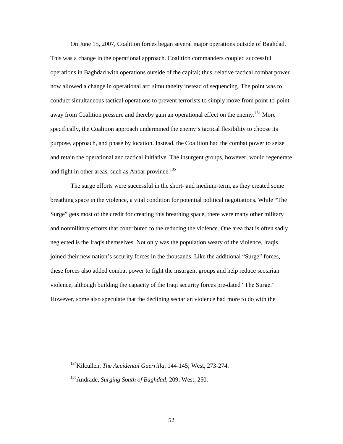On June 15, 2007, Coalition forces began several major operations outside of Baghdad. This was a change in the operational approach. Coalition commanders coupled successful operations in Baghdad with operations outside of the capital; thus, relative tactical combat power now allowed a change in operational art: simultaneity instead of sequencing. The point was to conduct simultaneous tactical operations to prevent terrorists to simply move from point-to-point away from Coalition pressure and thereby gain an operational effect on the enemy.<sup>134</sup> More specifically, the Coalition approach undermined the enemy's tactical flexibility to choose its purpose, approach, and phase by location. Instead, the Coalition had the combat power to seize and retain the operational and tactical initiative. The insurgent groups, however, would regenerate and fight in other areas, such as Anbar province. $135$ 

The surge efforts were successful in the short- and medium-term, as they created some breathing space in the violence, a vital condition for potential political negotiations. While "The Surge" gets most of the credit for creating this breathing space, there were many other military and nonmilitary efforts that contributed to the reducing the violence. One area that is often sadly neglected is the Iraqis themselves. Not only was the population weary of the violence, Iraqis joined their new nation's security forces in the thousands. Like the additional "Surge" forces, these forces also added combat power to fight the insurgent groups and help reduce sectarian violence, although building the capacity of the Iraqi security forces pre-dated "The Surge." However, some also speculate that the declining sectarian violence had more to do with the

 <sup>134</sup>Kilcullen, *The Accidental Guerrilla*, 144-145; West, 273-274.

<sup>135</sup>Andrade, *Surging South of Baghdad*, 209; West, 250.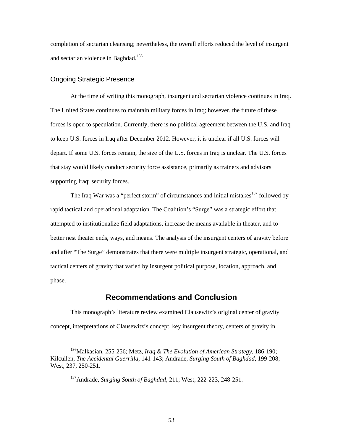completion of sectarian cleansing; nevertheless, the overall efforts reduced the level of insurgent and sectarian violence in Baghdad.<sup>136</sup>

### Ongoing Strategic Presence

At the time of writing this monograph, insurgent and sectarian violence continues in Iraq. The United States continues to maintain military forces in Iraq; however, the future of these forces is open to speculation. Currently, there is no political agreement between the U.S. and Iraq to keep U.S. forces in Iraq after December 2012. However, it is unclear if all U.S. forces will depart. If some U.S. forces remain, the size of the U.S. forces in Iraq is unclear. The U.S. forces that stay would likely conduct security force assistance, primarily as trainers and advisors supporting Iraqi security forces.

The Iraq War was a "perfect storm" of circumstances and initial mistakes<sup>137</sup> followed by rapid tactical and operational adaptation. The Coalition's "Surge" was a strategic effort that attempted to institutionalize field adaptations, increase the means available in theater, and to better nest theater ends, ways, and means. The analysis of the insurgent centers of gravity before and after "The Surge" demonstrates that there were multiple insurgent strategic, operational, and tactical centers of gravity that varied by insurgent political purpose, location, approach, and phase.

# **Recommendations and Conclusion**

This monograph's literature review examined Clausewitz's original center of gravity concept, interpretations of Clausewitz's concept, key insurgent theory, centers of gravity in

 <sup>136</sup>Malkasian, 255-256; Metz, *Iraq & The Evolution of American Strategy*, 186-190; Kilcullen, *The Accidental Guerrilla*, 141-143; Andrade, *Surging South of Baghdad*, 199-208; West, 237, 250-251.

<sup>137</sup>Andrade, *Surging South of Baghdad*, 211; West, 222-223, 248-251.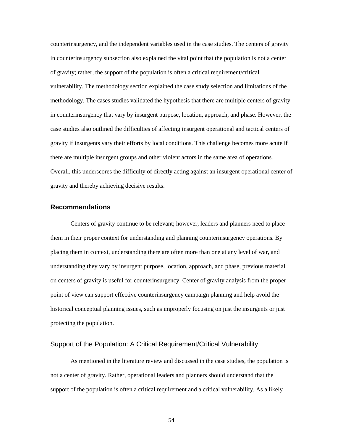counterinsurgency, and the independent variables used in the case studies. The centers of gravity in counterinsurgency subsection also explained the vital point that the population is not a center of gravity; rather, the support of the population is often a critical requirement/critical vulnerability. The methodology section explained the case study selection and limitations of the methodology. The cases studies validated the hypothesis that there are multiple centers of gravity in counterinsurgency that vary by insurgent purpose, location, approach, and phase. However, the case studies also outlined the difficulties of affecting insurgent operational and tactical centers of gravity if insurgents vary their efforts by local conditions. This challenge becomes more acute if there are multiple insurgent groups and other violent actors in the same area of operations. Overall, this underscores the difficulty of directly acting against an insurgent operational center of gravity and thereby achieving decisive results.

## **Recommendations**

Centers of gravity continue to be relevant; however, leaders and planners need to place them in their proper context for understanding and planning counterinsurgency operations. By placing them in context, understanding there are often more than one at any level of war, and understanding they vary by insurgent purpose, location, approach, and phase, previous material on centers of gravity is useful for counterinsurgency. Center of gravity analysis from the proper point of view can support effective counterinsurgency campaign planning and help avoid the historical conceptual planning issues, such as improperly focusing on just the insurgents or just protecting the population.

### Support of the Population: A Critical Requirement/Critical Vulnerability

As mentioned in the literature review and discussed in the case studies, the population is not a center of gravity. Rather, operational leaders and planners should understand that the support of the population is often a critical requirement and a critical vulnerability. As a likely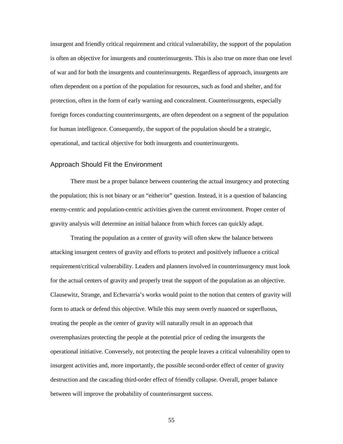insurgent and friendly critical requirement and critical vulnerability, the support of the population is often an objective for insurgents and counterinsurgents. This is also true on more than one level of war and for both the insurgents and counterinsurgents. Regardless of approach, insurgents are often dependent on a portion of the population for resources, such as food and shelter, and for protection, often in the form of early warning and concealment. Counterinsurgents, especially foreign forces conducting counterinsurgents, are often dependent on a segment of the population for human intelligence. Consequently, the support of the population should be a strategic, operational, and tactical objective for both insurgents and counterinsurgents.

### Approach Should Fit the Environment

There must be a proper balance between countering the actual insurgency and protecting the population; this is not binary or an "either/or" question. Instead, it is a question of balancing enemy-centric and population-centric activities given the current environment. Proper center of gravity analysis will determine an initial balance from which forces can quickly adapt.

Treating the population as a center of gravity will often skew the balance between attacking insurgent centers of gravity and efforts to protect and positively influence a critical requirement/critical vulnerability. Leaders and planners involved in counterinsurgency must look for the actual centers of gravity and properly treat the support of the population as an objective. Clausewitz, Strange, and Echevarria's works would point to the notion that centers of gravity will form to attack or defend this objective. While this may seem overly nuanced or superfluous, treating the people as the center of gravity will naturally result in an approach that overemphasizes protecting the people at the potential price of ceding the insurgents the operational initiative. Conversely, not protecting the people leaves a critical vulnerability open to insurgent activities and, more importantly, the possible second-order effect of center of gravity destruction and the cascading third-order effect of friendly collapse. Overall, proper balance between will improve the probability of counterinsurgent success.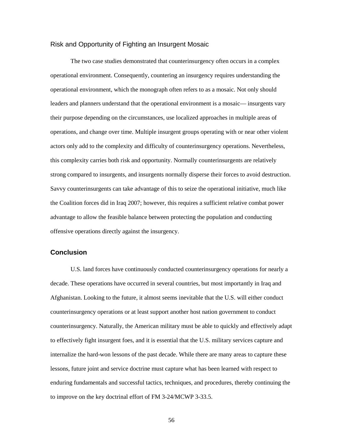### Risk and Opportunity of Fighting an Insurgent Mosaic

The two case studies demonstrated that counterinsurgency often occurs in a complex operational environment. Consequently, countering an insurgency requires understanding the operational environment, which the monograph often refers to as a mosaic. Not only should leaders and planners understand that the operational environment is a mosaic— insurgents vary their purpose depending on the circumstances, use localized approaches in multiple areas of operations, and change over time. Multiple insurgent groups operating with or near other violent actors only add to the complexity and difficulty of counterinsurgency operations. Nevertheless, this complexity carries both risk and opportunity. Normally counterinsurgents are relatively strong compared to insurgents, and insurgents normally disperse their forces to avoid destruction. Savvy counterinsurgents can take advantage of this to seize the operational initiative, much like the Coalition forces did in Iraq 2007; however, this requires a sufficient relative combat power advantage to allow the feasible balance between protecting the population and conducting offensive operations directly against the insurgency.

### **Conclusion**

U.S. land forces have continuously conducted counterinsurgency operations for nearly a decade. These operations have occurred in several countries, but most importantly in Iraq and Afghanistan. Looking to the future, it almost seems inevitable that the U.S. will either conduct counterinsurgency operations or at least support another host nation government to conduct counterinsurgency. Naturally, the American military must be able to quickly and effectively adapt to effectively fight insurgent foes, and it is essential that the U.S. military services capture and internalize the hard-won lessons of the past decade. While there are many areas to capture these lessons, future joint and service doctrine must capture what has been learned with respect to enduring fundamentals and successful tactics, techniques, and procedures, thereby continuing the to improve on the key doctrinal effort of FM 3-24/MCWP 3-33.5.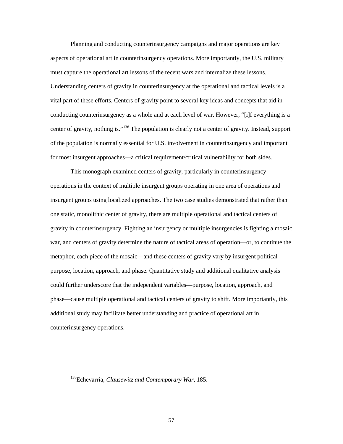Planning and conducting counterinsurgency campaigns and major operations are key aspects of operational art in counterinsurgency operations. More importantly, the U.S. military must capture the operational art lessons of the recent wars and internalize these lessons. Understanding centers of gravity in counterinsurgency at the operational and tactical levels is a vital part of these efforts. Centers of gravity point to several key ideas and concepts that aid in conducting counterinsurgency as a whole and at each level of war. However, "[i]f everything is a center of gravity, nothing is."<sup>138</sup> The population is clearly not a center of gravity. Instead, support of the population is normally essential for U.S. involvement in counterinsurgency and important for most insurgent approaches—a critical requirement/critical vulnerability for both sides.

This monograph examined centers of gravity, particularly in counterinsurgency operations in the context of multiple insurgent groups operating in one area of operations and insurgent groups using localized approaches. The two case studies demonstrated that rather than one static, monolithic center of gravity, there are multiple operational and tactical centers of gravity in counterinsurgency. Fighting an insurgency or multiple insurgencies is fighting a mosaic war, and centers of gravity determine the nature of tactical areas of operation—or, to continue the metaphor, each piece of the mosaic—and these centers of gravity vary by insurgent political purpose, location, approach, and phase. Quantitative study and additional qualitative analysis could further underscore that the independent variables—purpose, location, approach, and phase—cause multiple operational and tactical centers of gravity to shift. More importantly, this additional study may facilitate better understanding and practice of operational art in counterinsurgency operations.

 <sup>138</sup>Echevarria, *Clausewitz and Contemporary War*, 185.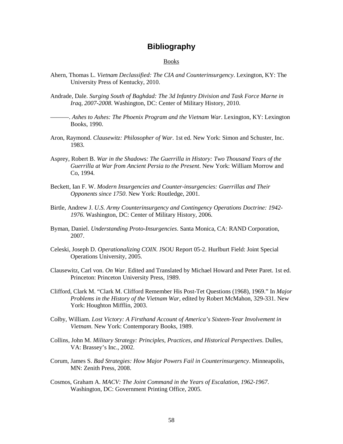# **Bibliography**

#### Books

- Ahern, Thomas L. *Vietnam Declassified: The CIA and Counterinsurgency*. Lexington, KY: The University Press of Kentucky, 2010.
- Andrade, Dale. *Surging South of Baghdad: The 3d Infantry Division and Task Force Marne in Iraq, 2007-2008*. Washington, DC: Center of Military History, 2010.
- ———. *Ashes to Ashes: The Phoenix Program and the Vietnam War*. Lexington, KY: Lexington Books, 1990.
- Aron, Raymond. *Clausewitz: Philosopher of War*. 1st ed. New York: Simon and Schuster, Inc. 1983.
- Asprey, Robert B. *War in the Shadows: The Guerrilla in History: Two Thousand Years of the Guerrilla at War from Ancient Persia to the Present*. New York: William Morrow and Co, 1994.
- Beckett, Ian F. W. *Modern Insurgencies and Counter-insurgencies: Guerrillas and Their Opponents since 1750*. New York: Routledge, 2001.
- Birtle, Andrew J. *U.S. Army Counterinsurgency and Contingency Operations Doctrine: 1942- 1976*. Washington, DC: Center of Military History, 2006.
- Byman, Daniel. *Understanding Proto-Insurgencies*. Santa Monica, CA: RAND Corporation, 2007.
- Celeski, Joseph D. *Operationalizing COIN.* JSOU Report 05-2. Hurlburt Field: Joint Special Operations University, 2005.
- Clausewitz, Carl von. *On War*. Edited and Translated by Michael Howard and Peter Paret. 1st ed. Princeton: Princeton University Press, 1989.
- Clifford, Clark M. "Clark M. Clifford Remember His Post-Tet Questions (1968), 1969." In *Major Problems in the History of the Vietnam War*, edited by Robert McMahon, 329-331. New York: Houghton Mifflin, 2003.
- Colby, William. *Lost Victory: A Firsthand Account of America's Sixteen-Year Involvement in Vietnam*. New York: Contemporary Books, 1989.
- Collins, John M. *Military Strategy: Principles, Practices, and Historical Perspectives*. Dulles, VA: Brassey's Inc., 2002.
- Corum, James S. *Bad Strategies: How Major Powers Fail in Counterinsurgency*. Minneapolis, MN: Zenith Press, 2008.
- Cosmos, Graham A. *MACV: The Joint Command in the Years of Escalation, 1962-1967*. Washington, DC: Government Printing Office, 2005.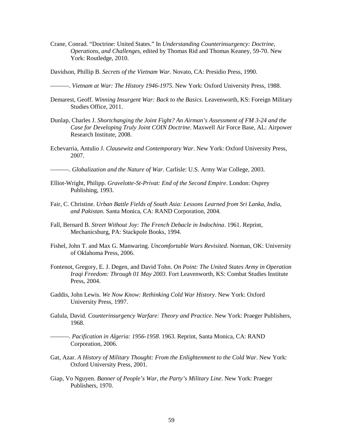Crane, Conrad. "Doctrine: United States." In *Understanding Counterinsurgency: Doctrine, Operations, and Challenges*, edited by Thomas Rid and Thomas Keaney, 59-70. New York: Routledge, 2010.

Davidson, Phillip B. *Secrets of the Vietnam War*. Novato, CA: Presidio Press, 1990.

———. *Vietnam at War: The History 1946-1975*. New York: Oxford University Press, 1988.

- Demarest, Geoff. *Winning Insurgent War: Back to the Basics*. Leavenworth, KS: Foreign Military Studies Office, 2011.
- Dunlap, Charles J. *Shortchanging the Joint Fight? An Airman's Assessment of FM 3-24 and the Case for Developing Truly Joint COIN Doctrine*. Maxwell Air Force Base, AL: Airpower Research Institute, 2008.
- Echevarria, Antulio J. *Clausewitz and Contemporary War*. New York: Oxford University Press, 2007.
- ———. *Globalization and the Nature of War*. Carlisle: U.S. Army War College, 2003.
- Elliot-Wright, Philipp. *Gravelotte-St-Privat: End of the Second Empire*. London: Osprey Publishing, 1993.
- Fair, C. Christine. *Urban Battle Fields of South Asia: Lessons Learned from Sri Lanka, India, and Pakistan*. Santa Monica, CA: RAND Corporation, 2004.
- Fall, Bernard B. *Street Without Joy: The French Debacle in Indochina*. 1961. Reprint, Mechanicsburg, PA: Stackpole Books, 1994.
- Fishel, John T. and Max G. Manwaring. *Uncomfortable Wars Revisited*. Norman, OK: University of Oklahoma Press, 2006.
- Fontenot, Gregory, E. J. Degen, and David Tohn. *On Point: The United States Army in Operation Iraqi Freedom: Through 01 May 2003*. Fort Leavenworth, KS: Combat Studies Institute Press, 2004.
- Gaddis, John Lewis. *We Now Know: Rethinking Cold War History*. New York: Oxford University Press, 1997.
- Galula, David. *Counterinsurgency Warfare: Theory and Practice*. New York: Praeger Publishers, 1968.
- ———. *Pacification in Algeria: 1956-1958*. 1963. Reprint, Santa Monica, CA: RAND Corporation, 2006.
- Gat, Azar. *A History of Military Thought: From the Enlightenment to the Cold War*. New York: Oxford University Press, 2001.
- Giap, Vo Nguyen. *Banner of People's War, the Party's Military Line*. New York: Praeger Publishers, 1970.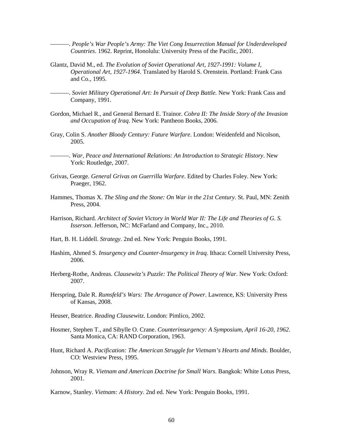———. *People's War People's Army: The Viet Cong Insurrection Manual for Underdeveloped Countries*. 1962. Reprint, Honolulu: University Press of the Pacific, 2001.

- Glantz, David M., ed. *The Evolution of Soviet Operational Art, 1927-1991: Volume I, Operational Art, 1927-1964*. Translated by Harold S. Orenstein. Portland: Frank Cass and Co., 1995.
- ———. *Soviet Military Operational Art: In Pursuit of Deep Battle.* New York: Frank Cass and Company, 1991.
- Gordon, Michael R., and General Bernard E. Trainor. *Cobra II: The Inside Story of the Invasion and Occupation of Iraq*. New York: Pantheon Books, 2006.
- Gray, Colin S. *Another Bloody Century: Future Warfare*. London: Weidenfeld and Nicolson, 2005.
	- ———. *War, Peace and International Relations: An Introduction to Strategic History*. New York: Routledge, 2007.
- Grivas, George. *General Grivas on Guerrilla Warfare*. Edited by Charles Foley. New York: Praeger, 1962.
- Hammes, Thomas X. *The Sling and the Stone: On War in the 21st Century*. St. Paul, MN: Zenith Press, 2004.
- Harrison, Richard. *Architect of Soviet Victory in World War II: The Life and Theories of G. S. Isserson*. Jefferson, NC: McFarland and Company, Inc., 2010.
- Hart, B. H. Liddell. *Strategy*. 2nd ed. New York: Penguin Books, 1991.
- Hashim, Ahmed S. *Insurgency and Counter-Insurgency in Iraq*. Ithaca: Cornell University Press, 2006.
- Herberg-Rothe, Andreas. *Clausewitz's Puzzle: The Political Theory of War*. New York: Oxford: 2007.
- Herspring, Dale R. *Rumsfeld's Wars: The Arrogance of Power*. Lawrence, KS: University Press of Kansas, 2008.
- Heuser, Beatrice. *Reading Clausewitz*. London: Pimlico, 2002.
- Hosmer, Stephen T., and Sibylle O. Crane. *Counterinsurgency: A Symposium, April 16-20, 1962*. Santa Monica, CA: RAND Corporation, 1963.
- Hunt, Richard A. *Pacification: The American Struggle for Vietnam's Hearts and Minds*. Boulder, CO: Westview Press, 1995.
- Johnson, Wray R. *Vietnam and American Doctrine for Small Wars*. Bangkok: White Lotus Press, 2001.

Karnow, Stanley. *Vietnam: A History*. 2nd ed. New York: Penguin Books, 1991.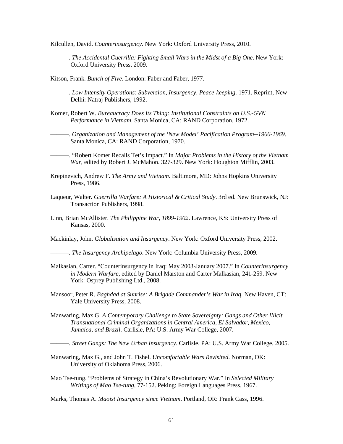Kilcullen, David. *Counterinsurgency*. New York: Oxford University Press, 2010.

- ———. *The Accidental Guerrilla: Fighting Small Wars in the Midst of a Big One*. New York: Oxford University Press, 2009.
- Kitson, Frank. *Bunch of Five*. London: Faber and Faber, 1977.
- ———. *Low Intensity Operations: Subversion, Insurgency, Peace-keeping*. 1971. Reprint, New Delhi: Natraj Publishers, 1992.
- Komer, Robert W. *Bureaucracy Does Its Thing: Institutional Constraints on U.S.-GVN Performance in Vietnam*. Santa Monica, CA: RAND Corporation, 1972.
- ———. *Organization and Management of the 'New Model' Pacification Program--1966-1969*. Santa Monica, CA: RAND Corporation, 1970.
- ———. "Robert Komer Recalls Tet's Impact." In *Major Problems in the History of the Vietnam War,* edited by Robert J. McMahon. 327-329. New York: Houghton Mifflin, 2003.
- Krepinevich, Andrew F. *The Army and Vietnam*. Baltimore, MD: Johns Hopkins University Press, 1986.
- Laqueur, Walter. *Guerrilla Warfare: A Historical & Critical Study*. 3rd ed. New Brunswick, NJ: Transaction Publishers, 1998.
- Linn, Brian McAllister. *The Philippine War, 1899-1902*. Lawrence, KS: University Press of Kansas, 2000.

Mackinlay, John. *Globalisation and Insurgency*. New York: Oxford University Press, 2002.

- ———. *The Insurgency Archipelago*. New York: Columbia University Press, 2009.
- Malkasian, Carter. "Counterinsurgency in Iraq: May 2003-January 2007." In *Counterinsurgency in Modern Warfare*, edited by Daniel Marston and Carter Malkasian, 241-259. New York: Osprey Publishing Ltd., 2008.
- Mansoor, Peter R. *Baghdad at Sunrise: A Brigade Commander's War in Iraq*. New Haven, CT: Yale University Press, 2008.
- Manwaring, Max G. *A Contemporary Challenge to State Sovereignty: Gangs and Other Illicit Transnational Criminal Organizations in Central America, El Salvador, Mexico, Jamaica, and Brazil*. Carlisle, PA: U.S. Army War College, 2007.

———. *Street Gangs: The New Urban Insurgency*. Carlisle, PA: U.S. Army War College, 2005.

- Manwaring, Max G., and John T. Fishel. *Uncomfortable Wars Revisited*. Norman, OK: University of Oklahoma Press, 2006.
- Mao Tse-tung. "Problems of Strategy in China's Revolutionary War." In *Selected Military Writings of Mao Tse-tung*, 77-152. Peking: Foreign Languages Press, 1967.

Marks, Thomas A. *Maoist Insurgency since Vietnam*. Portland, OR: Frank Cass, 1996.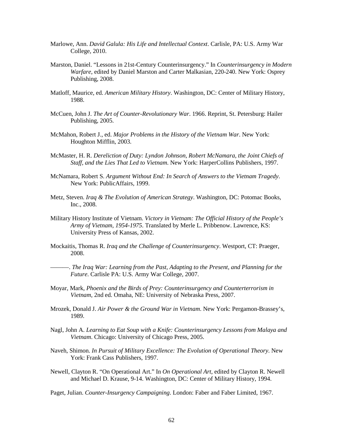- Marlowe, Ann. *David Galula: His Life and Intellectual Context*. Carlisle, PA: U.S. Army War College, 2010.
- Marston, Daniel. "Lessons in 21st-Century Counterinsurgency." In *Counterinsurgency in Modern Warfare*, edited by Daniel Marston and Carter Malkasian, 220-240. New York: Osprey Publishing, 2008.
- Matloff, Maurice, ed. *American Military History*. Washington, DC: Center of Military History, 1988.
- McCuen, John J. *The Art of Counter-Revolutionary War*. 1966. Reprint, St. Petersburg: Hailer Publishing, 2005.
- McMahon, Robert J., ed. *Major Problems in the History of the Vietnam War*. New York: Houghton Mifflin, 2003.
- McMaster, H. R. *Dereliction of Duty: Lyndon Johnson, Robert McNamara, the Joint Chiefs of Staff, and the Lies That Led to Vietnam*. New York: HarperCollins Publishers, 1997.
- McNamara, Robert S. *Argument Without End: In Search of Answers to the Vietnam Tragedy*. New York: PublicAffairs, 1999.
- Metz, Steven. *Iraq & The Evolution of American Strategy*. Washington, DC: Potomac Books, Inc., 2008.
- Military History Institute of Vietnam. *Victory in Vietnam: The Official History of the People's Army of Vietnam, 1954-1975*. Translated by Merle L. Pribbenow. Lawrence, KS: University Press of Kansas, 2002.
- Mockaitis, Thomas R. *Iraq and the Challenge of Counterinsurgency*. Westport, CT: Praeger, 2008.
- ———. *The Iraq War: Learning from the Past, Adapting to the Present, and Planning for the Future*. Carlisle PA: U.S. Army War College, 2007.
- Moyar, Mark, *Phoenix and the Birds of Prey: Counterinsurgency and Counterterrorism in Vietnam*, 2nd ed. Omaha, NE: University of Nebraska Press, 2007.
- Mrozek, Donald J. *Air Power & the Ground War in Vietnam*. New York: Pergamon-Brassey's, 1989.
- Nagl, John A. *Learning to Eat Soup with a Knife: Counterinsurgency Lessons from Malaya and Vietnam*. Chicago: University of Chicago Press, 2005.
- Naveh, Shimon. *In Pursuit of Military Excellence: The Evolution of Operational Theory*. New York: Frank Cass Publishers, 1997.
- Newell, Clayton R. "On Operational Art." In *On Operational Art*, edited by Clayton R. Newell and Michael D. Krause, 9-14. Washington, DC: Center of Military History, 1994.
- Paget, Julian. *Counter-Insurgency Campaigning*. London: Faber and Faber Limited, 1967.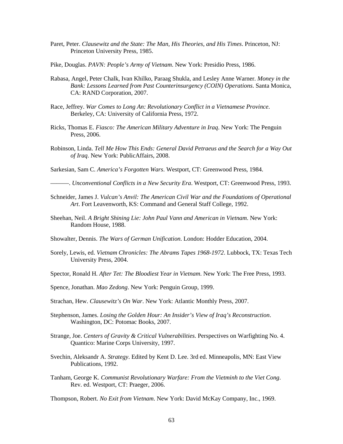- Paret, Peter. *Clausewitz and the State: The Man, His Theories, and His Times*. Princeton, NJ: Princeton University Press, 1985.
- Pike, Douglas. *PAVN: People's Army of Vietnam*. New York: Presidio Press, 1986.
- Rabasa, Angel, Peter Chalk, Ivan Khilko, Paraag Shukla, and Lesley Anne Warner. *Money in the Bank: Lessons Learned from Past Counterinsurgency (COIN) Operations*. Santa Monica, CA: RAND Corporation, 2007.
- Race, Jeffrey. *War Comes to Long An: Revolutionary Conflict in a Vietnamese Province*. Berkeley, CA: University of California Press, 1972.
- Ricks, Thomas E. *Fiasco: The American Military Adventure in Iraq*. New York: The Penguin Press, 2006.
- Robinson, Linda. *Tell Me How This Ends: General David Petraeus and the Search for a Way Out of Iraq*. New York: PublicAffairs, 2008.

Sarkesian, Sam C. *America's Forgotten Wars*. Westport, CT: Greenwood Press, 1984.

———. *Unconventional Conflicts in a New Security Era*. Westport, CT: Greenwood Press, 1993.

- Schneider, James J. *Vulcan's Anvil: The American Civil War and the Foundations of Operational Art*. Fort Leavenworth, KS: Command and General Staff College, 1992.
- Sheehan, Neil. *A Bright Shining Lie: John Paul Vann and American in Vietnam*. New York: Random House, 1988.
- Showalter, Dennis. *The Wars of German Unification*. London: Hodder Education, 2004.
- Sorely, Lewis, ed. *Vietnam Chronicles: The Abrams Tapes 1968-1972*. Lubbock, TX: Texas Tech University Press, 2004.
- Spector, Ronald H. *After Tet: The Bloodiest Year in Vietnam*. New York: The Free Press, 1993.
- Spence, Jonathan. *Mao Zedong*. New York: Penguin Group, 1999.
- Strachan, Hew. *Clausewitz's On War*. New York: Atlantic Monthly Press, 2007.
- Stephenson, James. *Losing the Golden Hour: An Insider's View of Iraq's Reconstruction*. Washington, DC: Potomac Books, 2007.
- Strange, Joe. *Centers of Gravity & Critical Vulnerabilities*. Perspectives on Warfighting No. 4. Quantico: Marine Corps University, 1997.
- Svechin, Aleksandr A. *Strategy*. Edited by Kent D. Lee. 3rd ed. Minneapolis, MN: East View Publications, 1992.
- Tanham, George K. *Communist Revolutionary Warfare: From the Vietminh to the Viet Cong*. Rev. ed. Westport, CT: Praeger, 2006.

Thompson, Robert. *No Exit from Vietnam*. New York: David McKay Company, Inc., 1969.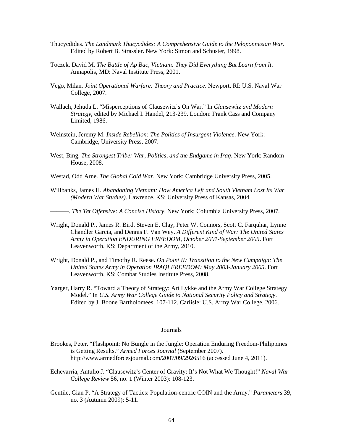- Thucycdides. *The Landmark Thucycdides: A Comprehensive Guide to the Peloponnesian War*. Edited by Robert B. Strassler. New York: Simon and Schuster, 1998.
- Toczek, David M. *The Battle of Ap Bac, Vietnam: They Did Everything But Learn from It*. Annapolis, MD: Naval Institute Press, 2001.
- Vego, Milan. *Joint Operational Warfare: Theory and Practice*. Newport, RI: U.S. Naval War College, 2007.
- Wallach, Jehuda L. "Misperceptions of Clausewitz's On War." In *Clausewitz and Modern Strategy*, edited by Michael I. Handel, 213-239. London: Frank Cass and Company Limited, 1986.
- Weinstein, Jeremy M. *Inside Rebellion: The Politics of Insurgent Violence*. New York: Cambridge, University Press, 2007.
- West, Bing. *The Strongest Tribe: War, Politics, and the Endgame in Iraq*. New York: Random House, 2008.
- Westad, Odd Arne. *The Global Cold War*. New York: Cambridge University Press, 2005.
- Willbanks, James H. *Abandoning Vietnam: How America Left and South Vietnam Lost Its War (Modern War Studies)*. Lawrence, KS: University Press of Kansas, 2004.
- ———. *The Tet Offensive: A Concise History*. New York: Columbia University Press, 2007.
- Wright, Donald P., James R. Bird, Steven E. Clay, Peter W. Connors, Scott C. Farquhar, Lynne Chandler Garcia, and Dennis F. Van Wey. *A Different Kind of War: The United States Army in Operation ENDURING FREEDOM, October 2001-September 2005*. Fort Leavenworth, KS: Department of the Army, 2010.
- Wright, Donald P., and Timothy R. Reese. *On Point II: Transition to the New Campaign: The United States Army in Operation IRAQI FREEDOM: May 2003-January 2005*. Fort Leavenworth, KS: Combat Studies Institute Press, 2008.
- Yarger, Harry R. "Toward a Theory of Strategy: Art Lykke and the Army War College Strategy Model." In *U.S. Army War College Guide to National Security Policy and Strategy*. Edited by J. Boone Bartholomees, 107-112. Carlisle: U.S. Army War College, 2006.

#### Journals

- Brookes, Peter. "Flashpoint: No Bungle in the Jungle: Operation Enduring Freedom-Philippines is Getting Results." *Armed Forces Journal* (September 2007). http://www.armedforcesjournal.com/2007/09/2926516 (accessed June 4, 2011).
- Echevarria, Antulio J. "Clausewitz's Center of Gravity: It's Not What We Thought!" *Naval War College Review* 56, no. 1 (Winter 2003): 108-123.
- Gentile, Gian P. "A Strategy of Tactics: Population-centric COIN and the Army." *Parameters* 39, no. 3 (Autumn 2009): 5-11.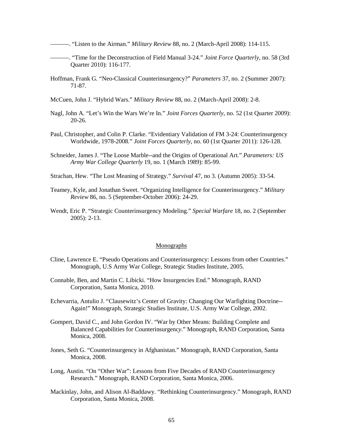———. "Listen to the Airman." *Military Review* 88, no. 2 (March-April 2008): 114-115.

- ———. "Time for the Deconstruction of Field Manual 3-24." *Joint Force Quarterly*, no. 58 (3rd Quarter 2010): 116-177.
- Hoffman, Frank G. "Neo-Classical Counterinsurgency?" *Parameters* 37, no. 2 (Summer 2007): 71-87.
- McCuen, John J. "Hybrid Wars." *Military Review* 88, no. 2 (March-April 2008): 2-8.
- Nagl, John A. "Let's Win the Wars We're In." *Joint Forces Quarterly*, no. 52 (1st Quarter 2009): 20-26.
- Paul, Christopher, and Colin P. Clarke. "Evidentiary Validation of FM 3-24: Counterinsurgency Worldwide, 1978-2008." *Joint Forces Quarterly*, no. 60 (1st Quarter 2011): 126-128.
- Schneider, James J. "The Loose Marble--and the Origins of Operational Art." *Parameters: US Army War College Quarterly* 19, no. 1 (March 1989): 85-99.
- Strachan, Hew. "The Lost Meaning of Strategy." *Survival* 47, no 3. (Autumn 2005): 33-54.
- Teamey, Kyle, and Jonathan Sweet. "Organizing Intelligence for Counterinsurgency." *Military Review* 86, no. 5 (September-October 2006): 24-29.
- Wendt, Eric P. "Strategic Counterinsurgency Modeling." *Special Warfare* 18, no. 2 (September 2005): 2-13.

#### Monographs

- Cline, Lawrence E. "Pseudo Operations and Counterinsurgency: Lessons from other Countries." Monograph, U.S Army War College, Strategic Studies Institute, 2005.
- Connable, Ben, and Martin C. Libicki. "How Insurgencies End." Monograph, RAND Corporation, Santa Monica, 2010.
- Echevarria, Antulio J. "Clausewitz's Center of Gravity: Changing Our Warfighting Doctrine-- Again!" Monograph, Strategic Studies Institute, U.S. Army War College, 2002.
- Gompert, David C., and John Gordon IV. "War by Other Means: Building Complete and Balanced Capabilities for Counterinsurgenc*y*." Monograph, RAND Corporation, Santa Monica, 2008.
- Jones, Seth G. "Counterinsurgency in Afghanistan." Monograph, RAND Corporation, Santa Monica, 2008.
- Long, Austin. "On "Other War": Lessons from Five Decades of RAND Counterinsurgency Research." Monograph, RAND Corporation, Santa Monica, 2006.
- Mackinlay, John, and Alison Al-Baddawy. "Rethinking Counterinsurgency." Monograph, RAND Corporation, Santa Monica, 2008.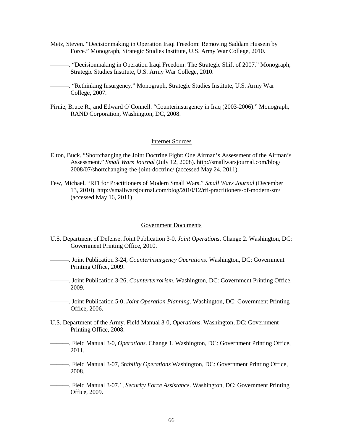- Metz, Steven. "Decisionmaking in Operation Iraqi Freedom: Removing Saddam Hussein by Force*.*" Monograph, Strategic Studies Institute, U.S. Army War College, 2010.
- ———. "Decisionmaking in Operation Iraqi Freedom: The Strategic Shift of 2007." Monograph, Strategic Studies Institute, U.S. Army War College, 2010.
- ———. "Rethinking Insurgency." Monograph, Strategic Studies Institute, U.S. Army War College, 2007.
- Pirnie, Bruce R., and Edward O'Connell. "Counterinsurgency in Iraq (2003-2006)." Monograph, RAND Corporation, Washington, DC, 2008.

#### Internet Sources

- Elton, Buck. "Shortchanging the Joint Doctrine Fight: One Airman's Assessment of the Airman's Assessment." *Small Wars Journal* (July 12, 2008). http://smallwarsjournal.com/blog/ 2008/07/shortchanging-the-joint-doctrine/ (accessed May 24, 2011).
- Few, Michael. "RFI for Practitioners of Modern Small Wars." *Small Wars Journal* (December 13, 2010). http://smallwarsjournal.com/blog/2010/12/rfi-practitioners-of-modern-sm/ (accessed May 16, 2011).

#### Government Documents

- U.S. Department of Defense. Joint Publication 3-0, *Joint Operations*. Change 2. Washington, DC: Government Printing Office, 2010.
- ———. Joint Publication 3-24, *Counterinsurgency Operations*. Washington, DC: Government Printing Office, 2009.
- ———. Joint Publication 3-26*, Counterterrorism*. Washington, DC: Government Printing Office, 2009.
- ———. Joint Publication 5-0*, Joint Operation Planning*. Washington, DC: Government Printing Office, 2006.
- U.S. Department of the Army. Field Manual 3-0*, Operations*. Washington, DC: Government Printing Office, 2008.
- ———. Field Manual 3-0, *Operations*. Change 1. Washington, DC: Government Printing Office, 2011.
- ———. Field Manual 3-07*, Stability Operations* Washington, DC: Government Printing Office, 2008.
- ———. Field Manual 3-07.1*, Security Force Assistance*. Washington, DC: Government Printing Office, 2009.